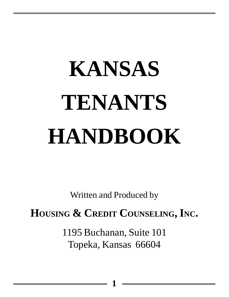# **KANSAS TENANTS HANDBOOK**

Written and Produced by

**HOUSING & CREDIT COUNSELING, INC.**

1195 Buchanan, Suite 101 Topeka, Kansas 66604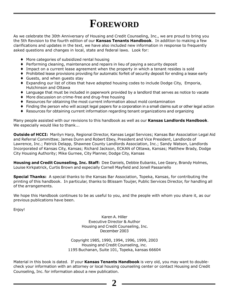## **FOREWORD**

As we celebrate the 30th Anniversary of Housing and Credit Counseling, Inc., we are proud to bring you the 5th Revision to the fourth edition of our **Kansas Tenants Handbook**. In addition to making a few clarifications and updates in the text, we have also included new information in response to frequently asked questions and changes in local, state and federal laws. Look for:

- ♦ More categories of subsidized rental housing
- ♦ Performing cleaning, maintenance and repairs in lieu of paying a security deposit
- ♦ Impact on a current lease agreement when the property in which a tenant resides is sold
- ♦ Prohibited lease provisions providing for automatic forfeit of security deposit for ending a lease early
- ♦ Guests, and when guests stay
- ♦ Expanding our list of cities that have adopted housing codes to include Dodge City, Emporia, Hutchinson and Ottawa
- ♦ Language that must be included in paperwork provided by a landlord that serves as notice to vacate
- ♦ More discussion on crime-free and drug-free housing
- ♦ Resources for obtaining the most current information about mold contamination
- ♦ Finding the person who will accept legal papers for a corporation in a small claims suit or other legal action
- ♦ Resources for obtaining current information regarding tenant organizations and organizing

Many people assisted with our revisions to this handbook as well as our **Kansas Landlords Handbook**. We especially would like to thank...

**Outside of HCCI:** Marilyn Harp, Regional Director, Kansas Legal Services; Kansas Bar Association Legal Aid and Referral Committee; James Dunn and Robert Ebey, President and Vice President, Landlords of Lawrence, Inc.; Patrick Delapp, Shawnee County Landlords Association, Inc.; Sandy Watson, Landlords Incorporated of Kansas City, Kansas; Richard Jackson, ECKAN of Ottawa, Kansas; Matthew Brady, Dodge City Housing Authority; Mike Gurnee, City Planner, Dodge City, Kansas

**Housing and Credit Counseling, Inc. Staff:** Dee Daniels, Debbie Eubanks, Lee Geary, Brandy Holmes, Louise Kirkpatrick, Curtis Brown and especially Cornell Mayfield and Jonell Passariello

**Special Thanks:** A special thanks to the Kansas Bar Association, Topeka, Kansas, for contributing the printing of this handbook. In particular, thanks to Btissam Touijer, Public Services Director, for handling all of the arrangements.

We hope this Handbook continues to be as useful to you, and the people with whom you share it, as our previous publications have been.

Enjoy!

Karen A. Hiller Executive Director & Author Housing and Credit Counseling, Inc. December 2003

Copyright 1985, 1990, 1994, 1996, 1999, 2003 Housing and Credit Counseling, inc. 1195 Buchanan, Suite 101, Topeka, kansas 66604

Material in this book is dated. If your **Kansas Tenants Handbook** is very old, you may want to doublecheck your information with an attorney or local housing counseling center or contact Housing and Credit Counseling, Inc. for information about a new publication.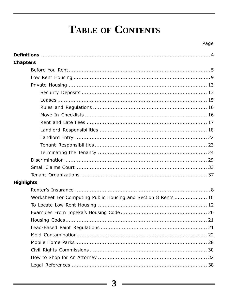## TABLE OF CONTENTS

| <b>Chapters</b>                                               |
|---------------------------------------------------------------|
|                                                               |
|                                                               |
|                                                               |
|                                                               |
|                                                               |
|                                                               |
|                                                               |
|                                                               |
|                                                               |
|                                                               |
|                                                               |
|                                                               |
|                                                               |
|                                                               |
|                                                               |
| <b>Highlights</b>                                             |
|                                                               |
| Worksheet For Computing Public Housing and Section 8 Rents 10 |
|                                                               |
|                                                               |
|                                                               |
|                                                               |
|                                                               |
|                                                               |
|                                                               |
|                                                               |
|                                                               |
|                                                               |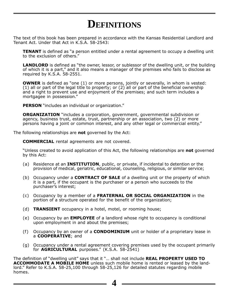## **DEFINITIONS**

The text of this book has been prepared in accordance with the Kansas Residential Landlord and Tenant Act. Under that Act in K.S.A. 58-2543:

**TENANT** is defined as "a person entitled under a rental agreement to occupy a dwelling unit to the exclusion of others."

**LANDLORD** is defined as "the owner, lessor, or sublessor of the dwelling unit, or the building of which it is a part," and it also means a manager of the premises who fails to disclose as required by K.S.A. 58-2551.

**OWNER** is defined as "one (1) or more persons, jointly or severally, in whom is vested: (1) all or part of the legal title to property; or (2) all or part of the beneficial ownership and a right to prevent use and enjoyment of the premises; and such term includes a mortgagee in possession."

**PERSON** "includes an individual or organization."

**ORGANIZATION** "includes a corporation, government, governmental subdivision or agency, business trust, estate, trust, partnership or an association, two (2) or more persons having a joint or common interest, and any other legal or commercial entity."

The following relationships are **not** governed by the Act:

**COMMERCIAL** rental agreements are not covered.

"Unless created to avoid application of this Act, the following relationships are **not** governed by this Act:

- (a) Residence at an **INSTITUTION**, public, or private, if incidental to detention or the provision of medical, geriatric, educational, counseling, religious, or similar service;
- (b) Occupancy under a **CONTRACT OF SALE** of a dwelling unit or the property of which it is a part, if the occupant is the purchaser or a person who succeeds to the purchaser's interest;
- (c) Occupancy by a member of a **FRATERNAL OR SOCIAL ORGANIZATION** in the portion of a structure operated for the benefit of the organization;
- (d) **TRANSIENT** occupancy in a hotel, motel, or rooming house;
- (e) Occupancy by an **EMPLOYEE** of a landlord whose right to occupancy is conditional upon employment in and about the premises;
- (f) Occupancy by an owner of a **CONDOMINIUM** unit or holder of a proprietary lease in a **COOPERATIVE**; and
- (g) Occupancy under a rental agreement covering premises used by the occupant primarily for **AGRICULTURAL** purposes." (K.S.A. 58-2541)

The definition of "dwelling unit" says that it "… shall not include **REAL PROPERTY USED TO ACCOMMODATE A MOBILE HOME** unless such mobile home is rented or leased by the landlord." Refer to K.S.A. 58-25,100 through 58-25,126 for detailed statutes regarding mobile homes.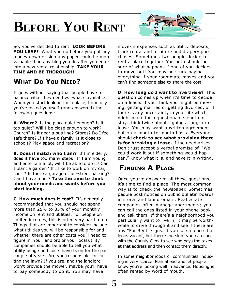# **BEFORE YOU RENT**

So, you've decided to rent. **LOOK BEFORE YOU LEAP!** What you do before you put any money down or sign any paper could be more valuable than anything you do after you enter into a new rental relationship. **TAKE YOUR TIME AND BE THOROUGH!**

#### **WHAT DO YOU NEED?**

It goes without saying that people have to balance what they need vs. what's available. When you start looking for a place, hopefully you've asked yourself (and answered) the following questions:

**A. Where?** Is the place quiet enough? Is it too quiet? Will I be close enough to work? Church? Is it near a bus line? Stores? Do I feel safe there? If I have a family, is it close to schools? Play space and recreation?

**B. Does it match who I am?** If I'm elderly, does it have too many steps? If I am young and entertain a lot, will I be able to do it? Can I plant a garden? If I like to work on my car, can I? Is there a garage or off-street parking? Can I have a pet? **Take the time to think about your needs and wants before you start looking.**

**C. How much does it cost?** It's generally recommended that you should not spend more than 25% to 35% of your monthly income on rent and utilities. For people on limited incomes, this is often very hard to do. Things that are important to consider include what utilities you will be responsible for and whether there are other costs you'll need to figure in. Your landlord or your local utility companies should be able to tell you what utility usage and costs have been for the past couple of years. Are you responsible for cutting the lawn? If you are, and the landlord won't provide the mower, maybe you'll have to pay somebody to do it. You may have

move-in expenses such as utility deposits, truck rental and furniture and drapery purchases. Sometimes two people decide to rent a place together. You both should be sure of what happens if one of you decides to move out! You may be stuck paying everything if your roommate moves and you can't find someone else to share the cost.

**FOR RENT**

**D. How long do I want to live there?** This question comes up when it's time to decide on a lease. If you think you might be moving, getting married or getting divorced, or if there is any uncertainty in your life which might make for a questionable length of stay, think twice about signing a long-term lease. You may want a written agreement but on a month-to-month basis. Everyone should **check to see what provision there is for breaking a lease,** if the need arises. Don't just accept a verbal promise of, "We could work it out if something would happen." Know what it is, and have it in writing.

#### **FINDING A PLACE**

Once you've answered all these questions, it's time to find a place. The most common way is to check the newspaper. Sometimes people post notices on public bulletin boards in stores and laundromats. Real estate companies often manage apartments; you can call the ones listed in your phone book and ask them. If there's a neighborhood you particularly want to live in, it may be worthwhile to drive through it and see if there are any "For Rent" signs. If you see a place that looks vacant, but there's no sign, you can check with the County Clerk to see who pays the taxes at that address and then contact them directly.

In some neighborhoods or communities, housing is very scarce. Plan ahead and let people know you're looking well in advance. Housing is often rented by word of mouth.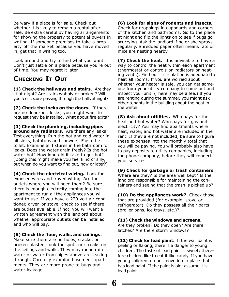Be wary if a place is for sale. Check out whether it is likely to remain a rental after sale. Be extra careful by having arrangements for showing the property to potential buyers in writing. If someone promises to take a property off the market because you have moved in, get that in writing too.

Look around and try to find what you want. Don't just settle on a place because you're out of time. You may regret it later.

#### **CHECKING IT OUT**

**(1) Check the hallways and stairs.** Are they lit at night? Are stairs wobbly or broken? Will you feel secure passing through the halls at night?

**(2) Check the locks on the doors.** If there are no dead-bolt locks, you might want to request they be installed. What about fire exits?

**(3) Check the plumbing, including pipes around any radiators.** Are there any leaks? Test everything. Run the hot and cold water in all sinks, bathtubs and showers. Flush the toilet. Examine all fixtures in the bathroom for leaks. Does the water drain freely? Is the hot water hot? How long did it take to get hot? (Doing this might make you feel kind of silly, but when do you want to find out, now or later?)

**(4) Check the electrical wiring.** Look for exposed wires and frayed wiring. Are the outlets where you will need them? Be sure there is enough electricity coming into the apartment to run all the appliances you will want to use. If you have a 220 volt air conditioner, dryer, or stove, check to see if there are outlets available. If not, you will want a written agreement with the landlord about whether appropriate outlets can be installed and who will pay.

#### **(5) Check the floor, walls, and ceilings.**

Make sure there are no holes, cracks, or broken plaster. Look for spots or streaks on the ceilings and walls. They may mean rain water or water from pipes above are leaking through. Carefully examine basement apartments. They are more prone to bugs and water leakage.

**(6) Look for signs of rodents and insects.** Check for droppings in cupboards and corners of the kitchen and bathrooms. Go to the place at night and flip the lights on to see if bugs go scurrying. Ask the landlord if he or she sprays regularly. Shredded paper often means rats or mice are nesting nearby.

**(7) Check the heat.** It is advisable to have a way to control the heat within each apartment (thermostat or controls on radiators or heating vents). Find out if circulation is adequate to heat all rooms. If you are worried about whether your heater is safe, you can get someone from your utility company to come out and inspect your unit. (There may be a fee.) If you are renting during the summer, you might ask other tenants in the building about the heat in the winter.

**(8) Ask about utilities.** Who pays for the heat and hot water? Who pays for gas and electricity? You may find apartments where heat, water, and hot water are included in the rent. If they are not included, be sure to figure these expenses into the monthly total that you will be paying. You will probably also have to pay deposits to utility companies, including the phone company, before they will connect your services.

**(9) Check for garbage or trash containers.** Where are they? Is the area well kept? Is the landlord responsible for maintaining the con-

tainers and seeing that the trash is picked up?

**(10) Do the appliances work?** Check those that are provided (for example, stove or refrigerator). Do they possess all their parts (broiler pans, ice trays, etc.)?

#### **(11) Check the windows and screens.**

Are they broken? Do they open? Are there latches? Are there storm windows?

**(12) Check for lead paint.** If the wall paint is peeling or flaking, there is a danger to young children. The taste of lead paint is sweet; therefore children like to eat it like candy. If you have young children, do not move into a place that has lead paint. If the paint is old, assume it is lead paint.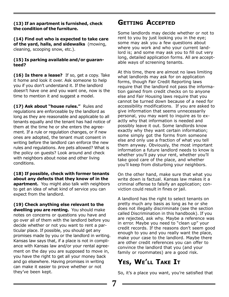#### **(13) If an apartment is furnished, check the condition of the furniture.**

**(14) Find out who is expected to take care of the yard, halls, and sidewalks** (mowing, cleaning, scooping snow, etc.).

#### **(15) Is parking available and/or guaranteed?**

**(16) Is there a lease?** If so, get a copy. Take it home and look it over. Ask someone to help you if you don't understand it. If the landlord doesn't have one and you want one, now is the time to mention it and suggest a model.

**(17) Ask about "house rules."** Rules and regulations are enforceable by the landlord as long as they are reasonable and applicable to all tenants equally and the tenant has had notice of them at the time he or she enters the agreement. If a rule or regulation changes, or if new ones are adopted, the tenant must consent in writing before the landlord can enforce the new rules and regulations. Are pets allowed? What is the policy on guests? Look around and check with neighbors about noise and other living conditions.

**(18) If possible, check with former tenants about any defects that they know of in the apartment.** You might also talk with neighbors to get an idea of what kind of service you can expect from the landlord.

**(19) Check anything else relevant to the dwelling you are renting.** You should make notes on concerns or questions you have and go over all of them with the landlord before you decide whether or not you want to rent a particular place. If possible, you should get any promises made by you or the landlord in writing. Kansas law says that, if a place is not in compliance with Kansas law and/or your rental agreement on the day you are supposed to move in, you have the right to get all your money back and go elsewhere. Having promises in writing can make it easier to prove whether or not they've been kept.

#### **GETTING ACCEPTED**

Some landlords may decide whether or not to rent to you by just looking you in the eye; some may ask you a few questions about where you work and who your current landlord is; and some may ask you to fill out very long, detailed application forms. All are acceptable ways of screening tenants.

At this time, there are almost no laws limiting what landlords may ask for on application forms, though Fair Credit Reporting laws require that the landlord not pass the information gained from credit checks on to anyone else and Fair Housing laws require that you cannot be turned down because of a need for accessibility modifications. If you are asked to give information that seems unnecessarily personal, you may want to inquire as to exactly why that information is needed and possibly leave it out. Some landlords know exactly why they want certain information; some simply got the forms from someone else and only use a fraction of what you tell them anyway. Obviously, the most important information a future landlord needs to know is whether you'll pay your rent, whether you'll take good care of the place, and whether you'll keep from disturbing your neighbors.

On the other hand, make sure that what you write down is factual. Kansas law makes it a criminal offense to falsify an application; conviction could result in fines or jail.

A landlord has the right to select tenants on pretty much any basis as long as he or she does not illegally discriminate (see the section called Discrimination in this handbook). If you are rejected, ask why. Maybe a reference was in error. Maybe you need to "clean up" your credit records. If the reasons don't seem good enough to you and you really want the place, make your case to the landlord. Maybe there are other credit references you can offer to convince the landlord that you (and your family or roommates) are a good risk.

#### **YES, WE'LL TAKE IT**

So, it's a place you want, you're satisfied that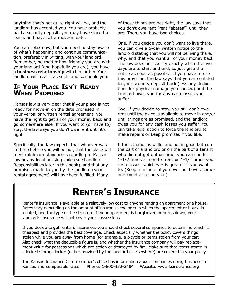anything that's not quite right will be, and the landlord has accepted you. You have probably paid a security deposit, you may have signed a lease, and have set a move-in date.

You can relax now, but you need to stay aware of what's happening and continue communication, preferably in writing, with your landlord. Remember, no matter how friendly you are with your landlord (and hopefully you are), you have a **business relationship** with him or her. Your landlord will treat it as such, and so should you.

#### **IF YOUR PLACE ISN'T READY WHEN PROMISED**

Kansas law is very clear that if your place is not ready for move-in on the date promised in your verbal or written rental agreement, you have the right to get all of your money back and go somewhere else. If you want to (or have to) stay, the law says you don't owe rent until it's right.

Specifically, the law expects that whoever was in there before you will be out, that the place will meet minimum standards according to Kansas law or any local housing code (see Landlord Responsibilities later in this book), and that any promises made to you by the landlord (your rental agreement) will have been fulfilled. If any

of these things are not right, the law says that you don't owe rent (rent "abates") until they are. Then, you have two choices.

One, if you decide you don't want to live there, you can give a 5-day written notice to the landlord stating that you will not be living there, why, and that you want all of your money back. The law does not specify exactly when the five days are to start and end, so just give the notice as soon as possible. If you have to use this provision, the law says that you are entitled to your security deposit back (less any deductions for physical damage you caused) and the landlord owes you for any cash losses you suffer.

Two, if you decide to stay, you still don't owe rent until the place is available to move in and/or until things are as promised, and the landlord owes you for any cash losses you suffer. You can take legal action to force the landlord to make repairs or keep promises if you like.

If the situation is willful and not in good faith on the part of a landlord or on the part of a tenant who did not get out on time, you can sue for 1-1/2 times a month's rent or 1-1/2 times your cash losses, whichever is greater, if you want to. (Keep in mind … if you ever hold over, someone could also sue you!)

## **RENTER'S INSURANCE**

Renter's insurance is available at a relatively low cost to anyone renting an apartment or a house. Rates vary depending on the amount of insurance, the area in which the apartment or house is located, and the type of the structure. If your apartment is burglarized or burns down, your landlord's insurance will not cover your possessions.

If you decide to get renter's insurance, you should check several companies to determine which is cheapest and provides the best coverage. Check especially whether the policy covers things stolen while you are away from home (for example, a bicycle or items stolen from your car). Also check what the deductible figure is, and whether the insurance company will pay replacement value for possessions which are stolen or destroyed by fire. Make sure that items stored in a locked storage locker (either provided by the landlord or elsewhere) are covered in your policy.

The Kansas Insurance Commissioner's office has information about companies doing business in Kansas and comparable rates. Phone: 1-800-432-2484 Website: www.ksinsurance.org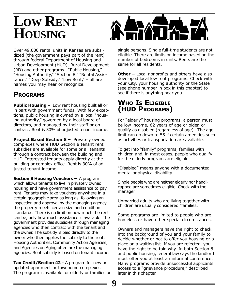## **LOW RENT HOUSING**



Over 49,000 rental units in Kansas are subsidized (the government pays part of the rent) through federal Department of Housing and Urban Development (HUD), Rural Development (RD) and other programs. "Public Housing," "Housing Authority," "Section 8," "Rental Assistance," "Deep Subsidy," "Low Rent," – all are names you may hear or recognize.

#### **PROGRAMS**

**Public Housing –** Low rent housing built all or in part with government funds. With few exceptions, public housing is owned by a local "housing authority," governed by a local board of directors, and managed by their staff or on contract. Rent is 30% of adjusted tenant income.

**Project Based Section 8 - Privately owned** complexes where HUD Section 8 tenant rent subsidies are available for some or all tenants through a contract between the building and HUD. Interested tenants apply directly at the building or complex office. Rent is 30% of adjusted tenant income.

**Section 8 Housing Vouchers –** A program which allows tenants to live in privately owned housing and have government assistance to pay rent. Tenants may take vouchers anywhere in a certain geographic area as long as, following an inspection and approval by the managing agency, the property meets certain size and condition standards. There is no limit on how much the rent can be, only how much assistance is available. The government provides subsidies through managing agencies who then contract with the tenant and the owner. The subsidy is paid directly to the owner who then applies the subsidy to the rent. Housing Authorities, Community Action Agencies, and Agencies on Aging often are the managing agencies. Rent subsidy is based on tenant income.

**Tax Credit/Section 42** - A program for new or updated apartment or townhome complexes. The program is available for elderly or families or single persons. Single full-time students are not eligible. There are limits on income based on the number of bedrooms in units. Rents are the same for all residents.

**Other –** Local nonprofits and others have also developed local low rent programs. Check with your City, your housing authority or the State (see phone number in box in this chapter) to see if there is anything near you.

#### **WHO IS ELIGIBLE (HUD PROGRAMS)**

For "elderly" housing programs, a person must be low income, 62 years of age or older, or qualify as disabled (regardless of age). The age limit can go down to 55 if certain amenities such as activities or transportation are available.

To get into "family" programs, families with children and, in most cases, people who qualify for the elderly programs are eligible.

"Disabled" means anyone with a documented mental or physical disability.

Single people who are neither elderly nor handicapped are sometimes eligible. Check with the manager.

Unmarried adults who are living together with children are usually considered "families."

Some programs are limited to people who are homeless or have other special circumstances.

Owners and managers have the right to check into the background of you and your family to decide whether or not to offer you housing or a place on a waiting list. If you are rejected, you have the right to be told why. In both Section 8 and public housing, federal law says the landlord must offer you at least an informal conference. Many programs provide unsuccessful applicants access to a "grievance procedure," described later in this chapter.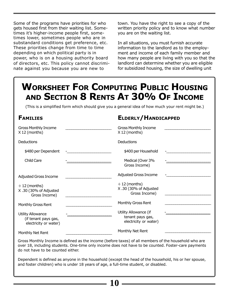Some of the programs have priorities for who gets housed first from their waiting list. Sometimes it's higher-income people first, sometimes lower, sometimes people who are in substandard conditions get preference, etc. These priorities change from time to time depending on which political party is in power, who is on a housing authority board of directors, etc. This policy cannot discriminate against you because you are new to

town. You have the right to see a copy of the written priority policy and to know what number you are on the waiting list.

In all situations, you must furnish accurate information to the landlord as to the employment and income of each family member and how many people are living with you so that the landlord can determine whether you are eligible for subsidized housing, the size of dwelling unit

**ELDERLY/HANDICAPPED**

## **WORKSHEET FOR COMPUTING PUBLIC HOUSING AND SECTION 8 RENTS AT 30% OF INCOME**

(This is a simplified form which should give you a general idea of how much your rent might be.)

#### **FAMILIES**

| <b>Gross Monthly Income</b><br>X 12 (months)                              | <b>Gross Monthly Income</b><br>$X 12$ (months)                     |  |
|---------------------------------------------------------------------------|--------------------------------------------------------------------|--|
| Deductions                                                                | Deductions                                                         |  |
| \$480 per Dependent                                                       | \$400 per Household                                                |  |
| Child Care                                                                | Medical (Over 3%<br>Gross Income)                                  |  |
| Adjusted Gross Income                                                     | <b>Adjusted Gross Income</b>                                       |  |
| $\div$ 12 (months)<br>X.30 (30% of Adjusted<br>Gross Income)              | $\div$ 12 (months)<br>X.30 (30% of Adjusted<br>Gross Income)       |  |
| Monthly Gross Rent                                                        | Monthly Gross Rent                                                 |  |
| <b>Utility Allowance</b><br>(if tenant pays gas,<br>electricity or water) | Utility Allowance (if<br>tenant pays gas,<br>electricity or water) |  |
| Monthly Net Rent                                                          | Monthly Net Rent                                                   |  |

Gross Monthly Income is defined as the income (before taxes) of all members of the household who are over 18, including students. One-time only income does not have to be counted. Foster-care payments do not have to be counted either.

Dependent is defined as anyone in the household (except the head of the household, his or her spouse, and foster children) who is under 18 years of age, a full-time student, or disabled.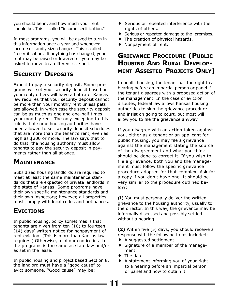you should be in, and how much your rent should be. This is called "income certification."

In most programs, you will be asked to turn in this information once a year and whenever income or family size changes. This is called "recertification." If anything has changed, your rent may be raised or lowered or you may be asked to move to a different size unit.

#### **SECURITY DEPOSITS**

Expect to pay a security deposit. Some programs will set your security deposit based on your rent; others will have a flat rate. Kansas law requires that your security deposit cannot be more than your monthly rent unless pets are allowed, in which case the security deposit can be as much as one and one-half times your monthly rent. The only exception to this rule is that some housing authorities have been allowed to set security deposit schedules that are more than the tenant's rent, even as high as \$200 or more. The law says that to do that, the housing authority must allow tenants to pay the security deposit in payments rather than all at once.

#### **MAINTENANCE**

Subsidized housing landlords are required to meet at least the same maintenance standards that are expected of private landlords in the state of Kansas. Some programs have their own specific maintenance standards and their own inspectors; however, all properties must comply with local codes and ordinances.

#### **EVICTIONS**

In public housing, policy sometimes is that tenants are given from ten (10) to fourteen (14) days' written notice for nonpayment of rent eviction. (This is more than Kansas law requires.) Otherwise, minimum notice in all of the programs is the same as state law and/or as set in the lease.

In public housing and project based Section 8, the landlord must have a "good cause" to evict someone. "Good cause" may be:

- ♦ Serious or repeated interference with the rights of others.
- ♦ Serious or repeated damage to the premises.
- ♦ The creation of physical hazards.
- Nonpayment of rent.

#### **GRIEVANCE PROCEDURE (PUBLIC HOUSING AND RURAL DEVELOP-MENT ASSISTED PROJECTS ONLY)**

In public housing, the tenant has the right to a hearing before an impartial person or panel if the tenant disagrees with a proposed action of the management. In the case of eviction disputes, federal law allows Kansas housing authorities to skip the grievance procedure and insist on going to court, but most will allow you to file the grievance anyway.

If you disagree with an action taken against you, either as a tenant or an applicant for public housing, you may file a grievance against the management stating the source of the disagreement and what you think should be done to correct it. If you wish to file a grievance, both you and the management must follow the specific grievance procedure adopted for that complex. Ask for a copy if you don't have one. It should be very similar to the procedure outlined below:

**(l)** You must personally deliver the written grievance to the housing authority, usually to the director. In this way, the grievance may be informally discussed and possibly settled without a hearing.

**(2)** Within five (5) days, you should receive a response with the following items included:

- ♦ A suggested settlement.
- ♦ Signature of a member of the management.
- $\bullet$  The date.

**11**

♦ A statement informing you of your right to a hearing before an impartial person or panel and how to obtain it.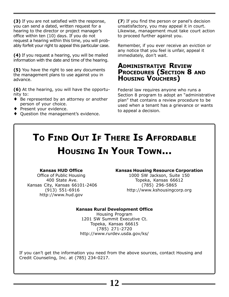**(3)** If you are not satisfied with the response, you can send a dated, written request for a hearing to the director or project manager's office within ten (10) days. If you do not request a hearing within this time, you will probably forfeit your right to appeal this particular case.

**(4)** If you request a hearing, you will be mailed information with the date and time of the hearing.

**(5)** You have the right to see any documents the management plans to use against you in advance.

**(6)** At the hearing, you will have the opportunity to:

- ♦ Be represented by an attorney or another person of your choice.
- ♦ Present your evidence.
- ♦ Question the management's evidence.

**(7**) If you find the person or panel's decision unsatisfactory, you may appeal it in court. Likewise, management must take court action to proceed further against you.

Remember, if you ever receive an eviction or any notice that you feel is unfair, appeal it immediately, don't wait.

#### **ADMINISTRATIVE REVIEW PROCEDURES (SECTION 8 AND HOUSING VOUCHERS)**

Federal law requires anyone who runs a Section 8 program to adopt an "administrative plan" that contains a review procedure to be used when a tenant has a grievance or wants to appeal a decision.

## **TO FIND OUT IF THERE IS AFFORDABLE HOUSING IN YOUR TOWN...**

#### **Kansas HUD Office**

Office of Public Housing 400 State Ave. Kansas City, Kansas 66101-2406 (913) 551-6916 http://www.hud.gov

#### **Kansas Housing Resource Corporation**

1000 SW Jackson, Suite 150 Topeka, Kansas 66612 (785) 296-5865 http://www.kshousingcorp.org

#### **Kansas Rural Development Office**

Housing Program 1201 SW Summit Executive Ct. Topeka, Kansas 66615 (785) 271-2720 http://www.rurdev.usda.gov/ks/

If you can't get the information you need from the above sources, contact Housing and Credit Counseling, Inc. at (785) 234-0217.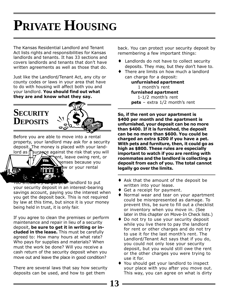# **PRIVATE HOUSING**

The Kansas Residential Landlord and Tenant Act lists rights and responsibilities for Kansas landlords and tenants. It has 33 sections and covers landlords and tenants that don't have written agreements as well as those that do.

Just like the Landlord/Tenant Act, any city or county codes or laws in your area that have to do with housing will affect both you and your landlord. **You should find out what they are and know what they say.**

# **SECURITY DEPOSITS**

Before you are able to move into a rental property, your landlord may ask for a security deposit. The money is placed with your land- $\log$  as insurance against the risk that you will ent, leave owing rent, or penses because you  $\mathbf{h}$ w or your rental  $\mathcal{L}$ 

r<del>ou should try to get your</del> landlord to put your security deposit in an interest-bearing savings account, paying you the interest when you get the deposit back. This is not required by law at this time, but since it is your money being held in trust, it is only fair.

If you agree to clean the premises or perform maintenance and repair in lieu of a security deposit, **be sure to get it in writing or included in the lease.** This must be carefully agreed to: How many hours at what rate? Who pays for supplies and materials? When must the work be done? Will you receive a cash return of the security deposit when you move out and leave the place in good condition?

There are several laws that say how security deposits can be used, and how to get them

back. You can protect your security deposit by remembering a few important things:

- ♦ Landlords do not have to collect security deposits. They may, but they don't have to.
- ♦ There are limits on how much a landlord can charge for a deposit: **unfurnished apartment**

 1 month's rent **furnished apartment** 1-1/2 month's rent **pets** – extra 1/2 month's rent

**So, if the rent on your apartment is \$400 per month and the apartment is unfurnished, your deposit can be no more than \$400. If it is furnished, the deposit can be no more than \$600. You could be charged an extra \$200 if you have a pet. With pets and furniture, then, it could go as high as \$800. These rules are especially important to watch if you are renting with roommates and the landlord is collecting a deposit from each of you. The total cannot legally go over the limits.**

- ♦ Ask that the amount of the deposit be written into your lease.
- ♦ Get a receipt for payment.
- Normal wear and tear on your apartment could be misrepresented as damage. To prevent this, be sure to fill out a checklist or inventory when you move in. (See later in this chapter on Move-In Check lists.)
- ♦ Do not try to use your security deposit while you live there to pay the landlord for rent or other charges and do not try to use it for the last month's rent. The Landlord/Tenant Act says that if you do, you could not only lose your security deposit, but you would still owe the rent or the other charges you were trying to use it for.
- ♦ You should get your landlord to inspect your place with you after you move out. This way, you can agree on what is dirty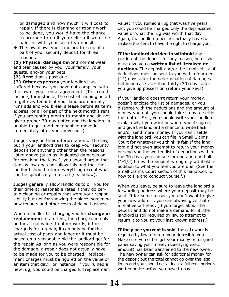or damaged and how much it will cost to repair. If there is cleaning or repair work to be done, you would have the chance to arrange to do it yourself so it won't be paid for with your security deposit.

♦ The law allows your landlord to keep all or part of your security deposit for three reasons:

**(1) Physical damage** beyond normal wear and tear caused by you, your family, your guests, and/or your pets.

**(2) Rent** that is past due.

**(3) Other expenses** your landlord has suffered because you have not complied with the law or your rental agreement. (This could include, for instance, the cost of running an ad to get new tenants if your landlord normally runs ads and you break a lease before its term expires, or all or part of the next month's rent if you are renting month-to-month and do not give a proper 30-day notice and the landlord is unable to get another tenant to move in immediately after you move out.)

Judges vary on their interpretation of the law, but if your landlord tries to keep your security deposit for anything other than the reasons listed above (such as liquidated damages or for breaking the lease), you should argue that Kansas law does not allow this and that the landlord should return everything except what can be specifically itemized (see below).

Judges generally allow landlords to bill you for their time at reasonable rates if they do certain cleaning or repairs that were your responsibility but not for showing the place, screening new tenants and other costs of doing business.

When a landlord is charging you for **change or replacement** of an item, the charge can only be for actual value. In other words, if the charge is for a repair, it can only be for the actual cost of parts and labor or it must be based on a reasonable bid the landlord got for the repair. As long as you were responsible for the damage, a repair does not actually have to be made for you to be charged. Replacement charges must be figured on the value of an item that day. For instance, if you ruined a new rug, you could be charged full replacement

value; if you ruined a rug that was five years old, you could be charged only the depreciated value of what the rug was worth that day. Again, the landlord does not actually have to replace the item to have the right to charge you.

**If the landlord decided to withhold** any portion of the deposit for any reason, he or she must give you a **written list of itemized deductions.** The deposit and/or the itemized list of deductions must be sent to you within fourteen (14) days after the determination of damages but in no case later than thirty (30) days after you give up possession (return your keys).

If your landlord doesn't return your money, doesn't enclose the list of damages, or you disagree with the deductions and the amount of money you got, you should take steps to settle the matter. First, you should write your landlord, explain what you want or where you disagree, and give the landlord a chance to write back and/or send more money. If you can't settle with the landlord, you can file in Small Claims Court for whatever you think is fair. If the landlord did not even attempt to return your money or send you the written list of deductions within the 30 days, you can sue for one and one-half (1-1/2) times the amount wrongfully withheld in addition to what you feel you are due. (See the Small Claims Court section of this handbook for how to file and conduct yourself.)

When you leave, be sure to leave the landlord a forwarding address where your deposit may be sent. If for some reason you don't want to give your new address, you can always give that of a relative or friend. (If you forget about the deposit and do not make a demand for it, the landlord is still required by law to attempt to return it to you at your last known address.)

**If the place you rent is sold**, the old owner is required by law to return your deposit to you. Make sure you either get your money or a signed paper saying your money (specifying exact amount) has been transferred to the new owner. The new owner can ask for additional money for the deposit but the total cannot go over the legal limits and you should get at least a full rent-period's written notice before you have to pay.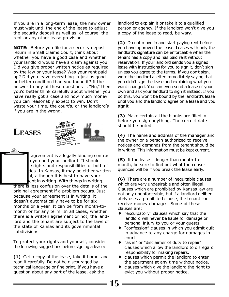If you are in a long-term lease, the new owner must wait until the end of the lease to adjust the security deposit as well as, of course, the rent or any other lease provision.

**NOTE:** Before you file for a security deposit return in Small Claims Court, think about whether you have a good case and whether your landlord would have a claim against you. Did you give proper written notice as required by the law or your lease? Was your rent paid up? Did you leave everything in just as good or better condition than you found it? If the answer to any of these questions is "No," then you'd better think carefully about whether you have really got a case and how much money you can reasonably expect to win. Don't waste your time, the court's, or the landlord's if you are in the wrong.

### **LEASES**

O)



agreement is a legally binding contract n you and your landlord. It should e rights and responsibilities of both of ties. In Kansas, it may be either written al, although it is best to have your ent in writing. With things in writing,

there is less confusion over the details of the original agreement if a problem occurs. Just because your agreement is in writing, it doesn't automatically have to be for six months or a year. It can be from month-tomonth or for any term. In all cases, whether there is a written agreement or not, the landlord and the tenant are subject to the laws of the state of Kansas and its governmental subdivisions.

To protect your rights and yourself, consider the following suggestions before signing a lease:

**(1)** Get a copy of the lease, take it home, and read it carefully. Do not be discouraged by technical language or fine print. If you have a question about any part of the lease, ask the

landlord to explain it or take it to a qualified person or agency. If the landlord won't give you a copy of the lease to read, be wary.

**(2)** Do not move in and start paying rent before you have approved the lease. Leases with only the landlord's signature can be enforceable when the tenant has a copy and has paid rent without reservation. If your landlord sends you a signed lease with instructions for you to sign it, don't sign unless you agree to the terms. If you don't sign, write the landlord a letter immediately saying that you didn't sign the lease and explaining what you want changed. You can even send a lease of your own and ask your landlord to sign it instead. If you do this, you won't be bound by the landlord's lease until you and the landlord agree on a lease and you sign it.

**(3)** Make certain all the blanks are filled in before you sign anything. The correct date should be noted.

**(4)** The name and address of the manager and the owner or a person authorized to receive notices and demands from the tenant should be in writing. This information must be kept current.

**(5)** If the lease is longer than month-tomonth, be sure to find out what the consequences will be if you break the lease early.

**(6)** There are a number of inequitable clauses which are very undesirable and often illegal. Clauses which are prohibited by Kansas law are not only unenforceable, but if a landlord deliberately uses a prohibited clause, the tenant can receive money damages. Some of these clauses are:

- "exculpatory" clauses which say that the landlord will never be liable for damage or personal injury to you or your guests.
- ♦ "confession" clauses in which you admit guilt in advance to any charge for damages in court.
- ♦ "as is" or "disclaimer of duty to repair" clauses which allow the landlord to disregard responsibility for making repairs.
- ♦ clauses which permit the landlord to enter the apartment at any time without notice.
- ♦ clauses which give the landlord the right to evict you without proper notice.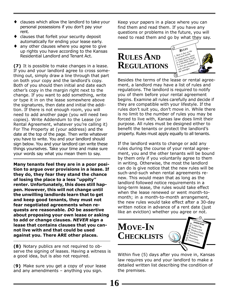- clauses which allow the landlord to take your personal possessions if you don't pay your rent.
- clauses that forfeit your security deposit automatically for ending your lease early.
- any other clauses where you agree to give up rights you have according to the Kansas Residential Landlord and Tenant Act.

**(7)** It is possible to make changes in a lease. If you and your landlord agree to cross something out, simply draw a line through that part on both your copy and the landlord's copy. Both of you should then initial and date each other's copy in the margin right next to the change. If you want to add something, write or type it in on the lease somewhere above the signatures, then date and initial the addition. If there is not enough room, you will need to add another page (you will need two copies). Write Addendum to the Lease (or Rental Agreement, whatever you're calling it) For The Property at (your address) and the date at the top of the page. Then write whatever you have to write. You and your landlord should sign below. You and your landlord can write these things yourselves. Take your time and make sure your words say what you mean them to say.

**Many tenants feel they are in a poor position to argue over provisions in a lease. If they do, they fear they stand the chance of losing the place to a less "uppity" renter. Unfortunately, this does still happen. However, this will not change until the unwilling landlords learn that to get and keep good tenants, they must not fear negotiated agreements when requests are reasonable.** *DO* **be assertive about proposing your own lease or asking to add or change clauses.** *NEVER* **sign a lease that contains clauses that you cannot live with and that could be used against you. There ARE other places.**

**(8)** Notary publics are not required to observe the signing of leases. Having a witness is a good idea, but is also not required.

(**9)** Make sure you get a copy of your lease and any amendments – anything you sign.

Keep your papers in a place where you can find them and read them. If you have any questions or problems in the future, you will need to read them and go by what they say.



Besides the terms of the lease or rental agreement, a landlord may have a list of rules and regulations. The landlord is required to notify you of them before your rental agreement begins. Examine all rules carefully and decide if they are compatible with your lifestyle. If the rules don't suit you, don't move in. While there is no limit to the number of rules you may be forced to live with, Kansas law does limit their purpose. All rules must be designed either to benefit the tenants or protect the landlord's property. Rules must apply equally to all tenants.

If the landlord wants to change or add any rules during the course of your rental agreement, you and the other tenants will be bound by them only if you voluntarily agree to them in writing. Otherwise, the most the landlord can do is give notice that the new rules will be such-and-such when rental agreements renew. This would mean that as long as the landlord followed notice requirements in a long-term lease, the rules would take effect when the lease renewed or went month-tomonth; in a month-to-month arrangement, the new rules would take effect after a 30-day written notice in advance of a rent date (just) like an eviction) whether you agree or not.



Within five (5) days after you move in, Kansas law requires you and your landlord to make a detailed written list describing the condition of the premises.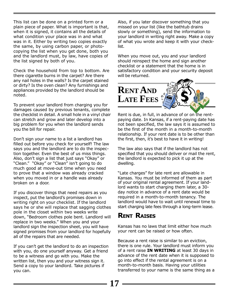This list can be done on a printed form or a plain piece of paper. What is important is that, when it is signed, it contains all the details of what condition your place was in and what was in it. Either by writing two copies exactly the same, by using carbon paper, or photocopying the list when you get done, both you and the landlord must, by law, have copies of the list signed by both of you.

Check the household from top to bottom. Are there cigarette burns in the carpet? Are there any nail holes in the walls? Is the carpet stained or dirty? Is the oven clean? Any furnishings and appliances provided by the landlord should be noted.

To prevent your landlord from charging you for damages caused by previous tenants, complete the checklist in detail. A small hole in a vinyl chair can stretch and grow and later develop into a big problem for you when the landlord sends you the bill for repair.

Don't sign your name to a list a landlord has filled out before you check for yourself! The law says you and the landlord are to do the inspection together. Even the best of us miss things. Also, don't sign a list that just says "Okay" or "Clean." "Okay" or "Clean" isn't going to do much good at move-out time when you need to prove that a window was already cracked when you moved in or a handle was already broken on a door.

If you discover things that need repairs as you inspect, put the landlord's promises down in writing right on your checklist. If the landlord says he or she will replace that sagging clothes pole in the closet within two weeks write down, "Bedroom clothes pole bent. Landlord will replace in two weeks." When you and your landlord sign the inspection sheet, you will have signed promises from your landlord for hopefully all of the repairs that are needed.

If you can't get the landlord to do an inspection with you, do one yourself anyway. Get a friend to be a witness and go with you. Make the written list, then you and your witness sign it. Send a copy to your landlord. Take pictures if you can.

Also, if you later discover something that you missed on your list (like the bathtub drains slowly or something), send the information to your landlord in writing right away. Make a copy of what you wrote and keep it with your checklist.

When you move out, you and your landlord should reinspect the home and sign another checklist or a statement that the home is in satisfactory condition and your security deposit will be returned.



Rent is due, in full, in advance of or on the rentpaying date. In Kansas, if a rent-paying date has not been specified, the law says it is assumed to be the first of the month in a month-to-month relationship. If your rent date is to be other than the first, then, it's best to have it in writing!

The law also says that if the landlord has not specified that you should deliver or mail the rent, the landlord is expected to pick it up at the dwelling.

"Late charges" for late rent are allowable in Kansas. You must be informed of them as part of your original rental agreement. If your landlord wants to start charging them later, a 30 day notice in advance of a rent date would be required in a month-to-month tenancy. The landlord would have to wait until renewal time to start charging late fees through a long-term lease.

#### **RENT RAISES**

Kansas has no laws that limit either how much your rent can be raised or how often.

Because a rent raise is similar to an eviction, there is one rule. Your landlord must inform you of a rent raise **IN WRITING** at least 30 days in advance of the rent date when it is supposed to go into effect if the rental agreement is on a month-to-month basis. Having your utilities transferred to your name is the same thing as a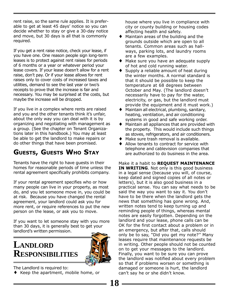rent raise, so the same rule applies. It is preferable to get at least 45 days' notice so you can decide whether to stay or give a 30-day notice and move, but 30 days is all that is commonly required.

If you get a rent raise notice, check your lease, if you have one. One reason people sign long-term leases is to protect against rent raises for periods of 6 months or a year or whatever period your lease covers. If your lease doesn't allow for a rent raise, don't pay. Or if your lease allows for rent raises only to cover costs of increased taxes and utilities, demand to see the last year or two's receipts to prove that the increase is fair and necessary. You may be surprised at the costs, but maybe the increase will be dropped.

If you live in a complex where rents are raised and you and the other tenants think it's unfair, about the only way you can deal with it is by organizing and negotiating with management as a group. (See the chapter on Tenant Organizations later in this handbook.) You may at least be able to get the landlord to make repairs or do other things that have been promised.

#### **GUESTS, GUESTS WHO STAY**

Tenants have the right to have guests in their homes for reasonable periods of time unless the rental agreement specifically prohibits company.

If your rental agreement specifies who or how many people can live in your property, as most do, and you let someone move in, you could be at risk. Because you have changed the rental agreement, your landlord could ask you for more rent, or require references to put the new person on the lease, or ask you to move.

If you want to let someone stay with you more than 30 days, it is generally best to get your landlord's written permission.

## **LANDLORD RESPONSIBILITIES**



**18**

The Landlord is required to:

♦ Keep the apartment, mobile home, or

house where you live in compliance with city or county building or housing codes affecting health and safety.

- ♦ Maintain areas of the building and the grounds outside which are open to all tenants. Common areas such as hallways, parking lots, and laundry rooms are a few examples.
- ♦ Make sure you have an adequate supply of hot and cold running water.
- Supply a reliable amount of heat during the winter months. A normal standard is that it should be possible to keep the temperature at 68 degrees between October and May. (The landlord doesn't necessarily have to pay for the water, electricity, or gas, but the landlord must provide the equipment and it must work.)
- ♦ Maintain all electrical, plumbing, sanitary, heating, ventilation, and air conditioning systems in good and safe working order.
- ♦ Maintain all appliances that are provided with the property. This would include such things as stoves, refrigerators, and air conditioners.
- ♦ Make sure trash removal is available.
- ♦ Allow tenants to contract for service with telephone and cablevision companies that are authorized to do business in the area.

Make it a habit to **REQUEST MAINTENANCE IN WRITING**. Not only is this good business in a legal sense (because you will, of course, keep dated and signed copies of all notes or letters), but it is also good business in a practical sense. You can say what needs to be said the way you want to say it. You don't have to be there when the landlord gets the news that something has gone wrong. And, written notes tend to keep turning up and reminding people of things, whereas mental notes are easily forgotten. Depending on the landlord and your lease, phone calls can be OK for the first contact about a problem or in an emergency, but after that, calls should only be to say, "Did you get my note?'' Many leases require that maintenance requests be in writing. Other people should not be counted on to get your messages to the landlord. Finally, you want to be sure you can prove the landlord was notified about every problem so that if problems worsen or something is damaged or someone is hurt, the landlord can't say he or she didn't know.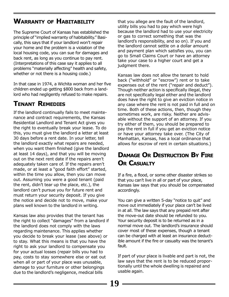#### **WARRANTY OF HABITABILITY**

The Supreme Court of Kansas has established the principle of "implied warranty of habitability." Basically, this says that if your landlord won't repair your home and the problem is a violation of the local housing code, you can sue for damages and back rent, as long as you continue to pay rent. (Interpretations of this case say it applies to all problems "materially affecting" health and safety, whether or not there is a housing code.)

In that case in 1974, a Wichita woman and her five children ended up getting \$800 back from a landlord who had negligently refused to make repairs.

#### **TENANT REMEDIES**

If the landlord continually fails to meet maintenance and contract requirements, the Kansas Residential Landlord and Tenant Act gives you the right to eventually break your lease. To do this, you must give the landlord a letter at least 30 days before a rent date. In your letter, tell the landlord exactly what repairs are needed, when you want them finished (give the landlord at least 14 days), and that you will be moving out on the next rent date if the repairs aren't adequately taken care of. If the repairs aren't made, or at least a "good faith effort" started, within the time you allow, then you can move out. Assuming you were a good tenant (paid the rent, didn't tear up the place, etc.), the landlord can't pursue you for future rent and must return your security deposit. If you give the notice and decide not to move, make your plans well known to the landlord in writing.

Kansas law also provides that the tenant has the right to collect "damages" from a landlord if the landlord does not comply with the laws regarding maintenance. This applies whether you decide to break your lease (see above) or to stay. What this means is that you have the right to ask your landlord to compensate you for your actual losses (repair bills you had to pay, costs to stay somewhere else or eat out when all or part of your place was unusable, damage to your furniture or other belongings due to the landlord's negligence, medical bills

that you allege are the fault of the landlord, utility bills you had to pay which were high because the landlord had to use your electricity or gas to correct something that was the landlord's responsibility, and so on). If you and the landlord cannot settle on a dollar amount and payment plan which satisfies you, you can go to Small Claims Court or have an attorney take your case to a higher court and get a judgment there.

Kansas law does not allow the tenant to hold back ("withhold" or "escrow") rent or to take expenses out of the rent ("repair and deduct"). Though neither action is specifically illegal, they are not specifically legal either and the landlord does have the right to give an eviction notice in any case where the rent is not paid in full and on time. Both of these actions, then, though they sometimes work, are risky. Neither are advisable without the support of an attorney. If you try either of them, you should be prepared to pay the rent in full if you get an eviction notice or have your attorney take over. (The City of Manhattan, Kansas, has a local ordinance that allows for escrow of rent in certain situations.)

#### **DAMAGE OR DESTRUCTION BY FIRE OR CASUALTY**

If a fire, a flood, or some other disaster strikes so that you can't live in all or part of your place, Kansas law says that you should be compensated accordingly.

You can give a written 5-day "notice to quit" and move out immediately if your place can't be lived in at all. The law says that any prepaid rent after the move-out date should be refunded to you. Your security deposit is to be returned as in a normal move out. The landlord's insurance should cover most of these expenses, though a tenant can be charged with at least an insurance deductible amount if the fire or casualty was the tenant's fault.

If part of your place is livable and part is not, the law says that the rent is to be reduced proportionally until the whole dwelling is repaired and usable again.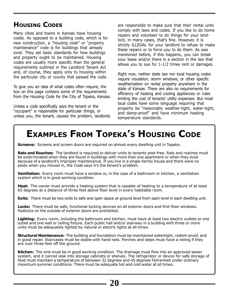#### **HOUSING CODES**

Many cities and towns in Kansas have housing codes. As opposed to a building code, which is for new construction, a "housing code" or "property maintenance" code is for buildings that already exist. They set basic standards for how buildings and property ought to be maintained. Housing codes are usually more specific than the general requirements outlined in the Landlord Tenant Act and, of course, they apply only to housing within the particular city or county that passed the code.

To give you an idea of what codes often require, the box on this page contains some of the requirements from the Housing Code for the City of Topeka, Kansas.

Unless a code specifically says the tenant or the "occupant" is responsible for particular things, or unless you, the tenant, caused the problem, landlords are responsible to make sure that their rental units comply with laws and codes. If you like to do home repairs and volunteer to do things for your landlord, in many cases, that's fine. However, it is strictly ILLEGAL for your landlord to refuse to make these repairs or to force you to do them. As was mentioned before, if this happens, you can break your lease and/or there is a section in the law that allows you to sue for 1-1/2 times rent or damages.

Right now, neither state law nor local housing codes require insulation, storm windows, or other specific weatherization on rental property anywhere in the state of Kansas. There are also no requirements for efficiency of heating and cooling appliances or rules limiting the cost of tenants' utility expenses. But most local codes have some language requiring that property be "reasonably weather-tight, water-tight, and damp-proof'' and have minimum heating temperature standards.

## **EXAMPLES FROM TOPEKA'S HOUSING CODE**

**Screens:** Screens and screen doors are required on almost every dwelling unit in Topeka.

**Rats and Roaches:** The landlord is required to deliver units to tenants pest-free. Rats and roaches must be exterminated when they are found in buildings with more than one apartment or when they exist because of a landlord's improper maintenance. If you live in a single-family house and there were no pests when you moved in, the Code says it's the tenant's problem.

**Ventilation:** Every room must have a window or, in the case of a bathroom or kitchen, a ventilation system which is in good working condition.

**Heat:** The owner must provide a heating system that is capable of heating to a temperature of at least 65 degrees at a distance of three feet above floor level in every habitable room.

**Exits:** There must be two exits to safe and open space at ground level from each level in each dwelling unit.

**Locks:** There must be safe, functional locking devices on all exterior doors and first-floor windows. Padlocks on the outside of exterior doors are prohibited.

**Lighting:** Every room, including the bathroom and kitchen, must have at least two electric outlets or one outlet and one wall or ceiling fixture. Each public hall and/or stairway in a building with three or more units must be adequately lighted by natural or electric lights at all times.

**Structural Maintenance:** The building and foundation must be maintained watertight, rodent-proof, and in good repair. Staircases must be stable with hand rails. Porches and steps must have a railing if they are over three feet off the ground.

**Kitchen:** The sink must be in good working condition. The drainage must flow into an approved sewer system, and it cannot leak into storage cabinets or shelves. The refrigerator or device for safe storage of food must maintain a temperature of between 32 degrees and 45 degrees Fahrenheit under ordinary maximum summer conditions. There must be adequate hot and cold water at all times.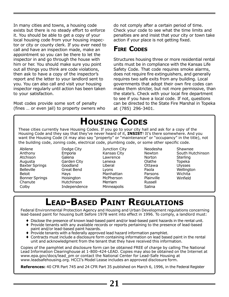In many cities and towns, a housing code exists but there is no steady effort to enforce it. You should be able to get a copy of your local housing code from your housing inspector or city or county clerk. If you ever need to call and have an inspection made, make an appointment so you can be there to let the inspector in and go through the house with him or her. You should make sure you point out all things you think are code violations, then ask to have a copy of the inspector's report and the letter to your landlord sent to you. You can also call and visit your housing inspector regularly until action has been taken to your satisfaction.

Most codes provide some sort of penalty (fines … or even jail) to property owners who do not comply after a certain period of time. Check your code to see what the time limits and penalties are and insist that your city or town take action if your place is not getting fixed.

#### **FIRE CODES**

Structures housing three or more residential rental units must be in compliance with the Kansas Life Safety Code. That code requires smoke alarms, does not require fire extinguishers, and generally requires two safe exits from any building. Local governments that adopt their own fire codes can make them stricter, but not more permissive, than the state's. Check with your local fire department to see if you have a local code. If not, questions can be directed to the State Fire Marshal in Topeka at (785) 296-3401.

## **HOUSING CODES**

These cities currently have Housing Codes. If you go to your city hall and ask for a copy of the Housing Code and they say that they've never heard of it, **INSIST**! It's there somewhere. And you want the Housing Code (it may also say "property" or "maintenance" or "occupancy" in the title), not the building code, zoning code, electrical code, plumbing code, or some other specific code.

Abilene Anthony Atchison Augusta Baxter Springs **Belleville** Beloit Bonner Springs Chanute **Colby** 

Dodge City Emporia Galena Garden City Goodland Great Bend Hays **Hoisington** Hutchinson Independence Junction City Kansas City Lawrence Lenexa Liberal Lyons Manhattan McPherson Merriam **Minneapolis** 

Neodesha Newton Norton Olathe Ottawa Paola Parsons Plainville Russell Salina

Shawnee South Hutchinson Sterling Topeka **Ulysses Wellington** Wichita Winfield

## **LEAD-BASED PAINT REGULATIONS**

Federal Environmental Protection Agency and Housing and Urban Development regulations concerning lead-based paint for housing built before 1978 went into effect in 1996. To comply, a landlord must:

- ♦ Disclose the presence of known lead-based paint and/or lead-based paint hazards in the rental unit.
- ♦ Provide tenants with any available records or reports pertaining to the presence of lead-based paint and/or lead-based paint hazards.
- ♦ Provide tenants with a federally approved lead hazard information pamphlet.
- ♦ Contracts must include a disclosure form containing information on lead based paint in the rental unit and acknowledgment from the tenant that they have received this information.

Copies of the pamphlet and disclosure form can be obtained FREE of charge by calling The National Lead Information Clearinghouse at 1-800-424-LEAD. Copies may also be obtained on the Internet at www.epa.gov/docs/lead\_pm or contact the National Center for Lead-Safe Housing at www.leadsafehousing.org. HCCI's Model Lease includes an approved disclosure form.

**References:** 40 CFR Part 745 and 24 CFR Part 35 published on March 6, 1996, in the Federal Register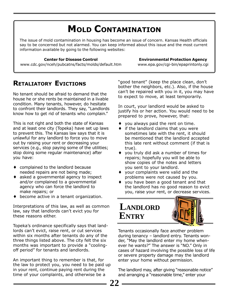## **MOLD CONTAMINATION**

The issue of mold contamination in housing has become an issue of concern. Kansas Health officials say to be concerned but not alarmed. You can keep informed about this issue and the most current information available by going to the following websites:

#### **Center for Disease Control**

**Environmental Protection Agency** www.epa.gov/cgi-bin/epaprintonly.cgi

www.cdc.gov/nceh/pubcatns/facts/molds/default.htm

#### **RETALIATORY EVICTIONS**

No tenant should be afraid to demand that the house he or she rents be maintained in a livable condition. Many tenants, however, do hesitate to confront their landlords. They say, "Landlords know how to get rid of tenants who complain."

This is not right and both the state of Kansas and at least one city (Topeka) have set up laws to prevent this. The Kansas law says that it is unlawful for any landlord to force you to move out by raising your rent or decreasing your services (e.g., stop paying some of the utilities; stop doing some regular maintenance) after you have:

- ♦ complained to the landlord because needed repairs are not being made;
- $\bullet$  asked a governmental agency to inspect and/or complained to a governmental agency who can force the landlord to make repairs; or
- become active in a tenant organization.

Interpretations of this law, as well as common law, say that landlords can't evict you for these reasons either.

Topeka's ordinance specifically says that landlords can't evict, raise rent, or cut services within six months after tenants do any of the three things listed above. The city felt the six months was important to provide a "coolingoff period" for tenants and landlords.

An important thing to remember is that, for the law to protect you, you need to be paid up in your rent, continue paying rent during the time of your complaints, and otherwise be a

"good tenant" (keep the place clean, don't bother the neighbors, etc.). Also, if the house can't be repaired with you in it, you may have to expect to move, at least temporarily.

In court, your landlord would be asked to justify his or her action. You would need to be prepared to prove, however, that:

- ♦ you always paid the rent on time.
- ♦ if the landlord claims that you were sometimes late with the rent, it should be mentioned that the landlord accepted this late rent without comment (if that is true).
- ♦ you truly did ask a number of times for repairs; hopefully you will be able to show copies of the notes and letters you sent to your landlord.
- ♦ your complaints were valid and the problems were not caused by you.
- ♦ you have been a good tenant and that the landlord has no good reason to evict you, raise your rent, or decrease services.



Tenants occasionally face another problem during tenancy – landlord entry. Tenants wonder, "May the landlord enter my home whenever he wants?" The answer is "NO." Only in cases of hazard involving the possible loss of life or severe property damage may the landlord enter your home without permission.

The landlord may, after giving "reasonable notice" and arranging a "reasonable time," enter your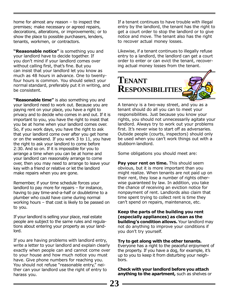home for almost any reason  $-$  to inspect the premises; make necessary or agreed repairs, decorations, alterations, or improvements; or to show the place to possible purchasers, lenders, tenants, workmen, or contractors.

**"Reasonable notice"** is something you and your landlord have to decide together. If you don't mind if your landlord comes over without calling first, that's fine. But you can insist that your landlord let you know as much as 48 hours in advance. One to twentyfour hours is common. You should select your normal standard, preferably put it in writing, and be consistent.

**"Reasonable time"** is also something you and your landlord need to work out. Because you are paying rent on your place, you have a right to privacy and to decide who comes in and out. If it is important to you, you have the right to insist that you be at home when your landlord comes over. So, if you work days, you have the right to ask that your landlord come over after you get home or on the weekend. If you work 3 to 11, you have the right to ask your landlord to come before 2:30. And so on. If it is impossible for you to arrange a time when you can be at home and your landlord can reasonably arrange to come over, then you may need to arrange to leave your key with a friend or relative or let the landlord make repairs when you are gone.

Remember, if your time schedule forces your landlord to pay more for repairs – for instance, having to pay time-and-a-half or doubletime to a plumber who could have come during normal working hours – that cost is likely to be passed on to you.

If your landlord is selling your place, real estate people are subject to the same rules and regulations about entering your property as your landlord.

If you are having problems with landlord entry, write a letter to your landlord and explain clearly exactly when people can and cannot come over to your house and how much notice you must have. Give phone numbers for reaching you. You should not refuse "reasonable entry," neither can your landlord use the right of entry to harass you.

If a tenant continues to have trouble with illegal entry by the landlord, the tenant has the right to get a court order to stop the landlord or to give notice and move. The tenant also has the right to recover actual money losses.

Likewise, if a tenant continues to illegally refuse entry to a landlord, the landlord can get a court order to enter or can evict the tenant, recovering actual money losses from the tenant.



A tenancy is a two-way street, and you as a tenant should do all you can to meet your responsibilities. Just because you know your rights, you should not unnecessarily agitate your landlord. Always try to work out your problems first. It's never wise to start off as adversaries. Outside people (courts, inspectors) should only be used when you can't work things out with a stubborn landlord.

Some obligations you should meet are:

**Pay your rent on time.** This should seem obvious, but it is more important than you might realize. When tenants are not paid up on their rent, they lose a number of rights otherwise guaranteed by law. In addition, you take the chance of receiving an eviction notice for nonpayment of rent. Landlords also claim that time spent trying to collect rent is time they can't spend on repairs, maintenance, etc.

**Keep the parts of the building you rent (especially appliances) as clean as the building's condition allows.** Your landlord may not do anything to improve your conditions if you don't try yourself.

**Try to get along with the other tenants.** Everyone has a right to the peaceful enjoyment of the property. If you have a dog, for example, it's up to you to keep it from disturbing your neighbors.

**Check with your landlord before you attach anything to the apartment,** such as shelves or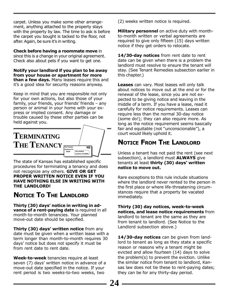carpet. Unless you make some other arrangement, anything attached to the property stays with the property by law. The time to ask is before the carpet you bought is tacked to the floor, not after. Again, be sure it's in writing.

**Check before having a roommate move** in since this is a change in your original agreement. Check also about pets if you want to get one.

**Notify your landlord if you plan to be away from your house or apartment for more than a few days.** Many leases require this and it's a good idea for security reasons anyway.

Keep in mind that you are responsible not only for your own actions, but also those of your family, your friends, your friends' friends – any person or animal in your home with your express or implied consent. Any damage or trouble caused by these other parties can be held against you.



The state of Kansas has established specific procedures for terminating a tenancy and does not recognize any others. **GIVE OR GET PROPER WRITTEN NOTICE EVEN IF YOU HAVE NOTHING ELSE IN WRITING WITH THE LANDLORD!**

#### **NOTICE TO THE LANDLORD**

**Thirty (30) days' notice in writing in advance of a rent-paying date** is required in all month-to-month tenancies. Your planned move-out date should be specified.

**Thirty (30) days' written notice** from any date must be given when a written lease with a term longer than month-to-month requires 30 days' notice but does not specify it must be from rent date to rent date.

**Week-to-week** tenancies require at least seven (7) days' written notice in advance of a move-out date specified in the notice. If your rent period is two weeks-to-two weeks, two

(2) weeks written notice is required.

**Military personnel** on active duty with monthto-month written or verbal agreements are required to give only fifteen (15) days written notice if they get orders to relocate.

**14/30-day notices** from rent date to rent date can be given when there is a problem the landlord must resolve to ensure the tenant will stay. (See Tenant Remedies subsection earlier in this chapter.)

**Leases** can vary. Most leases will only talk about notices to move out at the end or for the renewal of the lease, since you are not expected to be giving notice and leaving in the middle of a term. If you have a lease, read it carefully for notice requirements. Leases can require less than the normal 30-day notice (some do!); they can also require more. As long as the notice requirement seems basically fair and equitable (not "unconscionable"), a court would likely uphold it.

#### **NOTICE FROM THE LANDLORD**

Unless a tenant has not paid the rent (see next subsection), a landlord must **ALWAYS** give tenants at least **thirty (30) days' written notice to move out.**

Rare exceptions to this rule include situations where the landlord never rented to the person in the first place or where life-threatening circumstances require that a property be vacated immediately.

**Thirty (30) day notices, week-to-week notices, and lease notice requirements** from landlord to tenant are the same as they are from tenant to landlord. (See Notice to the Landlord subsection above.)

**14/30-day notices** can be given from landlord to tenant as long as they state a specific reason or reasons why a tenant might be evicted and allow fourteen (14) days to solve the problem(s) to prevent the eviction. Unlike the similar notice from tenant to landlord, Kansas law does not tie these to rent-paying dates; they can be for any thirty-day period.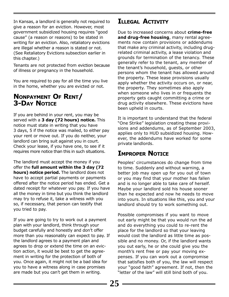In Kansas, a landlord is generally not required to give a reason for an eviction. However, most government subsidized housing requires "good cause" (a reason or reasons) to be stated in writing for an eviction. Also, retaliatory evictions are illegal whether a reason is stated or not. (See Retaliatory Evictions subsection earlier in this chapter.)

Tenants are not protected from eviction because of illness or pregnancy in the household.

You are required to pay for all the time you live in the home, whether you are evicted or not.

#### **NONPAYMENT OF RENT/ 3-DAY NOTICE**

If you are behind in your rent, you may be served with a **3 day (72 hours) notice.** This notice must state in writing that you have 3 days, 5 if the notice was mailed, to either pay your rent or move out. If you do neither, your landlord can bring suit against you in court. Check your lease, if you have one, to see if it requires more notice than this in such situations.

The landlord must accept the money if you offer the **full amount within the 3 day (72 hours) notice period.** The landlord does not have to accept partial payments or payments offered after the notice period has ended. Get a dated receipt for whatever you pay. If you have all the money in time but you think the landlord may try to refuse it, take a witness with you so, if necessary, that person can testify that you tried to pay.

If you are going to try to work out a payment plan with your landlord, think through your budget carefully and honestly and don't offer more than you reasonably can expect to pay. If the landlord agrees to a payment plan and agrees to drop or extend the time on an eviction action, it would be best to get the agreement in writing for the protection of both of you. Once again, it might not be a bad idea for you to have a witness along in case promises are made but you can't get them in writing.

#### **ILLEGAL ACTIVITY**

Due to increased concerns about **crime-free and drug-free housing**, many rental agreements now contain provisions or addendums that make any criminal activity, including drugrelated criminal activity, a lease violation and grounds for termination of the tenancy. These generally refer to the tenant, any member of the tenant's household, guests, or other persons whom the tenant has allowed around the property. These lease provisions usually apply whether the activity occurs on, or near, the property. They sometimes also apply when someone who lives in or frequents the property gets caught committing a crime or drug activity elsewhere. These evictions have been upheld in courts.

It is important to understand that the federal "One Strike" legislation creating these provisions and addendums, as of September 2003, applies only to HUD subsidized housing. However, the addendums have worked for some private landlords.

#### **IMPROPER NOTICE**

Peoples' circumstances do change from time to time. Suddenly and without warning, a better job may open up for you out of town or you may find that your mother has fallen and is no longer able to take care of herself. Maybe your landlord sold his house sooner than he expected and now he needs to move into yours. In situations like this, you and your landlord should try to work something out.

Possible compromises if you want to move out early might be that you would run the ad and do everything you could to re-rent the place for the landlord so that your leaving would cost the landlord as little time as possible and no money. Or, if the landlord wants you out early, he or she could give you the month's rent free or pay your moving expenses. If you can work out a compromise that satisfies both of you, the law will respect your "good faith" agreement. If not, then the "letter of the law" will still bind both of you.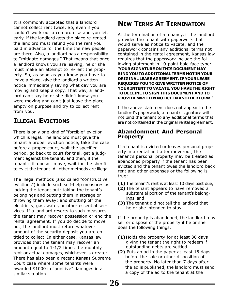It is commonly accepted that a landlord cannot collect rent twice. So, even if you couldn't work out a compromise and you left early, if the landlord gets the place re-rented, the landlord must refund you the rent you paid in advance for the time the new people are there. Also, a landlord has a responsibility to "mitigate damages." That means that once a landlord knows you are leaving, he or she must make an attempt to re-rent the property. So, as soon as you know you have to leave a place, give the landlord a written notice immediately saying what day you are moving and keep a copy. That way, a landlord can't say he or she didn't know you were moving and can't just leave the place empty on purpose and try to collect rent from you.

#### **ILLEGAL EVICTIONS**

There is only one kind of "forcible" eviction which is legal. The landlord must give the tenant a proper eviction notice, take the case before a proper court, wait the specified period, go back to court for trial, get a judgment against the tenant, and then, if the tenant still doesn't move, wait for the sheriff to evict the tenant. All other methods are illegal.

The illegal methods (also called "constructive evictions") include such self-help measures as locking the tenant out; taking the tenant's belongings and putting them in storage or throwing them away; and shutting off the electricity, gas, water, or other essential services. If a landlord resorts to such measures, the tenant may recover possession or end the rental agreement. If you do decide to move out, the landlord must return whatever amount of the security deposit you are entitled to collect. In either case, Kansas law provides that the tenant may recover an amount equal to 1-1/2 times the monthly rent or actual damages, whichever is greater. There has also been a recent Kansas Supreme Court case where some tenants were awarded \$1000 in "punitive" damages in a similar situation.

#### **NEW TERMS AT TERMINATION**

At the termination of a tenancy, if the landlord provides the tenant with paperwork that would serve as notice to vacate, and the paperwork contains any additional terms not contained in the rental agreement, Kansas law requires that the paperwork include the following statement in 10-point bold face type: **'YOUR SIGNATURE ON THIS DOCUMENT MAY BIND YOU TO ADDITIONAL TERMS NOT IN YOUR ORIGINAL LEASE AGREEMENT. IF YOUR LEASE REQUIRES YOU TO GIVE WRITTEN NOTICE OF YOUR INTENT TO VACATE, YOU HAVE THE RIGHT TO DECLINE TO SIGN THIS DOCUMENT AND TO PROVIDE WRITTEN NOTICE IN ANOTHER FORM.'**

If the above statement does not appear in the landlord's paperwork, a tenant's signature will not bind the tenant to any additional terms that are not contained in the original rental agreement.

#### **Abandonment And Personal Property**

If a tenant is evicted or leaves personal property in a rental unit after move-out, the tenant's personal property may be treated as abandoned property if the tenant has been evicted and the tenant owes the landlord back rent and other expenses or the following is true:

- **(1)** The tenant's rent is at least 10 days past due,
- **(2)** The tenant appears to have removed a substantial portion of the tenant's belongings, and
- **(3)** The tenant did not tell the landlord that he or she intended to stay.

If the property is abandoned, the landlord may sell or dispose of the property if he or she does the following things.

- **(1)** Holds the property for at least 30 days giving the tenant the right to redeem if outstanding debts are settled.
- **(2)** Puts an ad in the paper at least 15 days before the sale or other disposition of the property. No later than 7 days after the ad is published, the landlord must send a copy of the ad to the tenant at the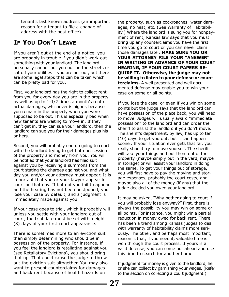tenant's last known address (an important reason for a tenant to file a change of address with the post office).

#### **IF YOU DON'T LEAVE**

If you aren't out at the end of a notice, you are probably in trouble if you didn't work out something with your landlord. The landlord personally cannot put you out on the streets or cut off your utilities if you are not out, but there are some legal steps that can be taken which can be pretty bad for you.

First, your landlord has the right to collect rent from you for every day you are in the property as well as up to 1-1/2 times a month's rent or actual damages, whichever is higher, because you remain in the property when you were supposed to be out. This is especially bad when new tenants are waiting to move in. If they can't get in, they can sue your landlord, then the landlord can sue you for their damages plus his or hers.

Second, you will probably end up going to court with the landlord trying to get both possession of the property and money from you. You will be notified that your landlord has filed suit against you by receiving a summons from the court stating the charges against you and what day you and/or your attorney must appear. It is important that you or your lawyer appear in court on that day. If both of you fail to appear and the hearing has not been postponed, you lose your case by default, and a judgment is immediately made against you.

If your case goes to trial, which it probably will unless you settle with your landlord out of court, the trial date must be set within eight (8) days of your first court appearance.

There is sometimes more to an eviction suit than simply determining who should be in possession of the property. For instance, if you feel the landlord is retaliating against you (see Retaliatory Evictions), you should bring that up. That could cause the judge to throw out the eviction suit altogether. You may also want to present counterclaims for damages and back rent because of health hazards on

the property, such as cockroaches, water damages, no heat, etc. (See Warranty of Habitability.) Where the landlord is suing you for nonpayment of rent, Kansas law says that you must bring up any counterclaims you have the first time you go to court or you can never claim those damages later. **MAKE SURE YOU OR YOUR ATTORNEY FILE YOUR "ANSWER" IN WRITING IN ADVANCE OF YOUR COURT HEARING, IF YOUR COURT PAPERS RE-QUIRE IT. Otherwise, the judge may not be willing to listen to your defense or counterclaims.** A well presented and well documented defense may enable you to win your case on some or all points.

If you lose the case, or even if you win on some points but the judge says that the landlord can have possession of the place back, you will need to move. Judges will usually award "immediate possession" to the landlord and can order the sheriff to assist the landlord if you don't move. The sheriff's department, by law, has up to ten (10) days to get you out, but it can happen sooner. If your situation ever gets that far, you really should try to move yourself. The sheriff will take your things and put them out of the property (maybe simply out in the yard, maybe in storage) or will assist your landlord in doing the same. To get your things out of storage, you will first have to pay the moving and storage expenses, probably the court costs, and maybe also all of the money (if any) that the judge decided you owed your landlord.

It may be asked, "Why bother going to court if you will probably lose anyway?" First, there is always the possibility you may win on some or all points. For instance, you might win a partial reduction in money owed for back rent. There has been a trend among Kansas judges to deal with warranty of habitability claims more seriously. The other, and perhaps most important, reason is that, if you need it, valuable time is won through the court process. If yours is a valid defense, you can come out ahead and use this time to search for another home.

If judgment for money is given to the landlord, he or she can collect by garnishing your wages. (Refer to the section on collecting a court judgment.)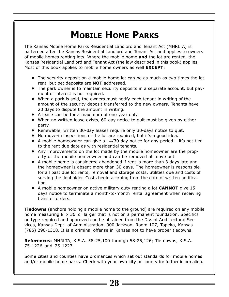## **MOBILE HOME PARKS**

The Kansas Mobile Home Parks Residential Landlord and Tenant Act (MHRLTA) is patterned after the Kansas Residential Landlord and Tenant Act and applies to owners of mobile homes renting lots. Where the mobile home **and** the lot are rented, the Kansas Residential Landlord and Tenant Act (the law described in this book) applies. Most of this book applies to mobile home owners as well **EXCEPT:**

- ♦ The security deposit on a mobile home lot can be as much as two times the lot rent, but pet deposits are **NOT** addressed.
- ♦ The park owner is to maintain security deposits in a separate account, but payment of interest is not required.
- ♦ When a park is sold, the owners must notify each tenant in writing of the amount of the security deposit transferred to the new owners. Tenants have 20 days to dispute the amount in writing.
- ♦ A lease can be for a maximum of one year only.
- ♦ When no written lease exists, 60-day notice to quit must be given by either party.
- ♦ Renewable, written 30-day leases require only 30-days notice to quit.
- $\bullet$  No move-in inspections of the lot are required, but it's a good idea.
- $\bullet$  A mobile homeowner can give a 14/30 day notice for any period it's not tied to the rent due date as with residential tenants.
- ♦ Any improvements on the lot made by the mobile homeowner are the property of the mobile homeowner and can be removed at move out.
- ♦ A mobile home is considered abandoned if rent is more than 3 days late and the homeowner is absent more than 30 days. The homeowner is responsible for all past due lot rents, removal and storage costs, utilities due and costs of serving the lienholder. Costs begin accruing from the date of written notification.
- ♦ A mobile homeowner on active military duty renting a lot **CANNOT** give 15 days notice to terminate a month-to-month rental agreement when receiving transfer orders.

**Tiedowns** (anchors holding a mobile home to the ground) are required on any mobile home measuring 8' x 36' or larger that is not on a permanent foundation. Specifics on type required and approved can be obtained from the Div. of Architectural Services, Kansas Dept. of Administration, 900 Jackson, Room 107, Topeka, Kansas (785) 296-1318. It is a criminal offense in Kansas not to have proper tiedowns.

**References:** MHRLTA, K.S.A. 58-25,100 through 58-25,126; Tie downs, K.S.A. 75-1226 and 75-1227.

Some cities and counties have ordinances which set out standards for mobile homes and/or mobile home parks. Check with your own city or county for further information.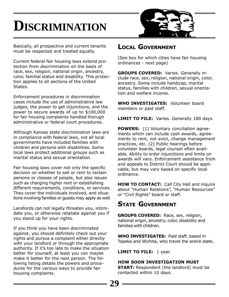# **DISCRIMINATION**



Basically, all prospective and current tenants must be respected and treated equally.

Current federal fair housing laws extend protection from discrimination on the basis of race, sex, religion, national origin, ancestry, color, familial status and disability. This protection applies to all sections of the United States.

Enforcement procedures in discrimination cases include the use of administrative law judges, the power to get injunctions, and the power to secure awards of up to \$100,000 for fair housing complaints handled thorugh administrative or federal court procedures.

Although Kansas state discrimination laws are in compliance with federal laws, not all local governments have included families with children and persons with disabilities. Some local laws protect additional groups such as marital status and sexual orientation.

Fair housing laws cover not only the specific decision on whether to sell or rent to certain persons or classes of people, but also issues such as charging higher rent or establishing different requirements, conditions, or services. They cover the individuals involved, and situations involving families or guests may apply as well.

Landlords can not legally threaten you, intimidate you, or otherwise retaliate against you if you stand up for your rights.

If you think you have been discriminated against, you should definitely check out your rights and pursue a complaint either directly with your landlord or through the appropriate authority. If it's too late to make the situation better for yourself, at least you can maybe make it better for the next person. The following listing details the powers and procedures for the various ways to provide fair housing complaints.

#### **LOCAL GOVERNMENT**

(See box for which cities have fair housing ordinances - next page)

**GROUPS COVERED:** Varies. Generally include race, sex, religion, national origin, color, ancestry. Some include handicap, marital status, families with children, sexual orientation and welfare income.

**WHO INVESTIGATES:** Volunteer board members or paid staff.

**LIMIT TO FILE:** Varies. Generally 180 days.

**POWERS:** (1) Voluntary conciliation agreements which can include cash awards, agreements to rent, not evict, change management practices, etc. (2) Public hearings before volunteer boards, legal counsel often available. Ability to order injunctions and limits on awards will vary. Enforcement assistance from and appeals to District Court should be applicable, but may vary based on specific local ordinance.

**HOW TO CONTACT:** Call City Hall and inquire about "Human Relations", "Human Resources" or "Civil Rights" board or staff.

#### **STATE GOVERNMENT**

**GROUPS COVERED:** Race, sex, religion, national origin, ancestry, color, disability and families with children.

**WHO INVESTIGATES:** Paid staff, based in Topeka and Wichita, who travel the entire state.

**LIMIT TO FILE:** 1 year.

#### **HOW SOON INVESTIGATION MUST**

**START:** Respondent (the landlord) must be contacted within 10 days.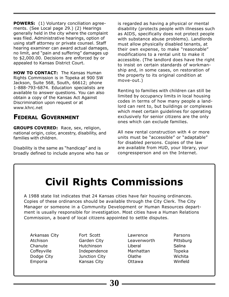**POWERS:** (1) Voluntary conciliation agreements. (See Local page 29.) (2) Hearings generally held in the city where the complaint was filed. Administrative hearings, option of using staff attorney or private counsel. Staff hearing examiner can award actual damages, no limit, and "pain and suffering" damages up to \$2,000.00. Decisions are enforced by or appealed to Kansas District Court.

**HOW TO CONTACT:** The Kansas Human Rights Commission is in Topeka at 900 SW Jackson, Suite 568, South, 66612; phone 1-888-793-6874. Education specialists are available to answer questions. You can also obtain a copy of the Kansas Act Against Discrimination upon request or at www.khrc.net

#### **FEDERAL GOVERNMENT**

**GROUPS COVERED:** Race, sex, religion, national origin, color, ancestry, disability, and families with children.

Disability is the same as "handicap" and is broadly defined to include anyone who has or is regarded as having a physical or mental disability (protects people with illnesses such as AIDS, specifically does not protect people with substance abuse problems). Landlords must allow physically disabled tenants, at their own expense, to make "reasonable" modifications to a rental unit to make it accessible. (The landlord does have the right to insist on certain standards of workmanship and, in some cases, on restoration of the property to its original condition at move-out.)

Renting to families with children can still be limited by occupancy limits in local housing codes in terms of how many people a landlord can rent to, but buildings or complexes which meet certain guidelines for operating exclusively for senior citizens are the only ones which can exclude families.

All new rental construction with 4 or more units must be "accessible" or "adaptable" for disabled persons. Copies of the law are available from HUD, your library, your congressperson and on the Internet.

## **Civil Rights Commissions**

A 1988 state list indicates that 24 Kansas cities have fair housing ordinances. Copies of these ordinances should be available through the City Clerk. The City Manager or someone in a Community Development or Human Resources department is usually responsible for investigation. Most cities have a Human Relations Commission, a board of local citizens appointed to settle disputes.

Arkansas City Atchison Chanute **Coffeyville** Dodge City Emporia

Fort Scott Garden City Hutchinson Independence Junction City Kansas City

- Lawrence Leavenworth Liberal Manhattan Olathe Ottawa
- Parsons Pittsburg **Salina** Topeka Wichita Winfield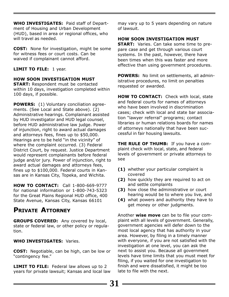**WHO INVESTIGATES:** Paid staff of Department of Housing and Urban Development (HUD), based in area or regional offices, who will travel as needed.

**COST:** None for investigation, might be some for witness fees or court costs. Can be waived if complainant cannot afford.

#### **LIMIT TO FILE:** 1 year.

#### **HOW SOON INVESTIGATION MUST**

**START:** Respondent must be contacted within 10 days, investigation completed within 100 days, if possible.

**POWERS:** (1) Voluntary conciliation agreements. (See Local and State above). (2) Administrative hearings. Complainant assisted by HUD investigator and HUD legal counsel, before HUD administrative law judge. Power of injunction, right to award actual damages and attorneys fees, fines up to \$50,000. Hearings are to be held "in the vicinity" of where the complaint occurred. (3) Federal District Court, by request. Justice Department would represent complainants before federal judge and/or jury. Power of injunction, right to award actual damages and attorneys fees, fines up to \$100,000. Federal courts in Kansas are in Kansas City, Topeka, and Wichita.

**HOW TO CONTACT:** Call 1-800-669-9777 for national information or 1-800-743-5323 for the Great Plains Regional HUD office, 400 State Avenue, Kansas City, Kansas 66101

#### **PRIVATE ATTORNEY**

**GROUPS COVERED:** Any covered by local, state or federal law, or other policy or regulation.

**WHO INVESTIGATES:** Varies.

**COST:** Negotiable, can be high, can be low or "contingency fee."

**LIMIT TO FILE:** Federal law allows up to 2 years for private lawsuit; Kansas and local law may vary up to 5 years depending on nature of lawsuit.

#### **HOW SOON INVESTIGATION MUST**

**START:** Varies. Can take some time to prepare case and get through various court systems. In the past, however, there have been times when this was faster and more effective than using government procedures.

**POWERS:** No limit on settlements, all administrative procedures, no limit on penalties requested or awarded.

**HOW TO CONTACT:** Check with local, state and federal courts for names of attorneys who have been involved in discrimination cases; check with local and state bar association "lawyer referral" programs; contact libraries or human relations boards for names of attorneys nationally that have been successful in fair housing lawsuits.

**THE RULE OF THUMB:** If you have a complaint check with local, state, and federal levels of government or private attorneys to see

- **(1)** whether your particular complaint is covered
- **(2)** how quickly they are required to act on and settle complaints
- **(3)** how close the administrative or court hearing would be to where you live, and
- **(4)** what powers and authority they have to get money or other judgments.

Another **wise move** can be to file your complaint with all levels of government. Generally, government agencies will defer down to the most local agency that has authority in your area. However, by filing in a timely manner with everyone, if you are not satisfied with the investigation at one level, you can ask the next to assist you. Because all government levels have time limits that you must meet for filing, if you waited for one investigation to finish and were dissatisfied, it might be too late to file with the next.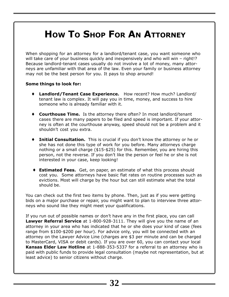## **HOW TO SHOP FOR AN ATTORNEY**

When shopping for an attorney for a landlord/tenant case, you want someone who will take care of your business quickly and inexpensively and who will win – right!? Because landlord-tenant cases usually do not involve a lot of money, many attorneys are unfamiliar with that area of the law. Even your family or business attorney may not be the best person for you. It pays to shop around!

#### **Some things to look for:**

- ♦ **Landlord/Tenant Case Experience.** How recent? How much? Landlord/ tenant law is complex. It will pay you in time, money, and success to hire someone who is already familiar with it.
- ♦ **Courthouse Time.** Is the attorney there often? In most landlord/tenant cases there are many papers to be filed and speed is important. If your attorney is often at the courthouse anyway, speed should not be a problem and it shouldn't cost you extra.
- ♦ **Initial Consultation.** This is crucial if you don't know the attorney or he or she has not done this type of work for you before. Many attorneys charge nothing or a small charge (\$15-\$25) for this. Remember, you are hiring this person, not the reverse. If you don't like the person or feel he or she is not interested in your case, keep looking!
- ♦ **Estimated Fees.** Get, on paper, an estimate of what this process should cost you. Some attorneys have basic flat rates on routine processes such as evictions. Most will charge by the hour but can still estimate what the total should be.

You can check out the first two items by phone. Then, just as if you were getting bids on a major purchase or repair, you might want to plan to interview three attorneys who sound like they might meet your qualifications.

If you run out of possible names or don't have any in the first place, you can call **Lawyer Referral Service** at 1-800-928-3111. They will give you the name of an attorney in your area who has indicated that he or she does your kind of case (fees range from \$100-\$200 per hour). For advice only, you will be connected with an attorney on the Lawyer Advice Line (charges are \$3 per minute and can be charged to MasterCard, VISA or debit cards). If you are over 60, you can contact your local **Kansas Elder Law Hotline** at 1-888-353-5337 for a referral to an attorney who is paid with public funds to provide legal consultation (maybe not representation, but at least advice) to senior citizens without charge.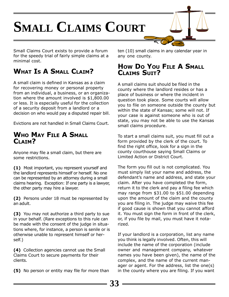# **SMALL CLAIMS COURT**

Small Claims Court exists to provide a forum for the speedy trial of fairly simple claims at a minimal cost.

#### **WHAT IS A SMALL CLAIM?**

A small claim is defined in Kansas as a claim for recovering money or personal property from an individual, a business, or an organization where the amount involved is \$1,800.00 or less. It is especially useful for the collection of a security deposit from a landlord or a decision on who would pay a disputed repair bill.

Evictions are not handled in Small Claims Court.

#### **WHO MAY FILE A SMALL** CLATM?

Anyone may file a small claim, but there are some restrictions.

**(1)** Most important, you represent yourself and the landlord represents himself or herself. No one can be represented by an attorney during a small claims hearing. Exception: If one party is a lawyer, the other party may hire a lawyer.

**(2)** Persons under 18 must be represented by an adult.

**(3)** You may not authorize a third party to sue in your behalf. (Rare exceptions to this rule can be made with the consent of the judge in situations where, for instance, a person is senile or is otherwise unable to represent himself or herself.)

**(4)** Collection agencies cannot use the Small Claims Court to secure payments for their clients.

**(5)** No person or entity may file for more than

ten (10) small claims in any calendar year in any one county.

#### **HOW DO YOU FILE A SMALL CLAIMS SUIT?**

A small claims suit should be filed in the county where the landlord resides or has a place of business or where the incident in question took place. Some courts will allow you to file on someone outside the county but within the state of Kansas; some will not. If your case is against someone who is out of state, you may not be able to use the Kansas small claims procedure.

To start a small claims suit, you must fill out a form provided by the clerk of the court. To find the right office, look for a sign in the county courthouse saying Small Claims or Limited Action or District Court.

The form you fill out is not complicated. You must simply list your name and address, the defendant's name and address, and state your claim. After you have completed the form, return it to the clerk and pay a filing fee which may range from \$31.00 to \$51.00 depending upon the amount of the claim and the county you are filing in. The judge may waive this fee if good cause is shown that you cannot afford it. You must sign the form in front of the clerk, or, if you file by mail, you must have it notarized.

If your landlord is a corporation, list any name you think is legally involved. Often, this will include the name of the corporation (include owner and management company, whatever names you have been given), the name of the complex, and the name of the current manager or agent. For the address, list the one(s) in the county where you are filing. If you want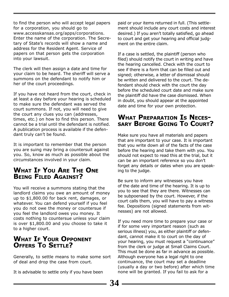to find the person who will accept legal papers for a corporation, you should go to www.accesskansas.org/apps/corporations. Enter the name of the corporation. The Secretary of State's records will show a name and address for the Resident Agent. Service of papers on that person gets the corporation into your lawsuit.

The clerk will then assign a date and time for your claim to be heard. The sheriff will serve a summons on the defendant to notify him or her of the court proceedings.

If you have not heard from the court, check in at least a day before your hearing is scheduled to make sure the defendant was served the court summons. If not, you will need to give the court any clues you can (addresses, times, etc.) on how to find this person. There cannot be a trial until the defendant is notified. A publication process is available if the defendant truly can't be found.

It is important to remember that the person you are suing may bring a countersuit against you. So, know as much as possible about the circumstances involved in your claim.

#### **WHAT IF YOU ARE THE ONE BEING FILED AGAINST?**

You will receive a summons stating that the landlord claims you owe an amount of money up to \$1,800.00 for back rent, damages, or whatever. You can defend yourself if you feel you do not owe the money or countersue if you feel the landlord owes you money. It costs nothing to countersue unless your claim is over \$1,800.00 and you choose to take it to a higher court.

#### **WHAT IF YOUR OPPONENT OFFERS TO SETTLE?**

Generally, to settle means to make some sort of deal and drop the case from court.

It is advisable to settle only if you have been

paid or your items returned in full. (This settlement should include any court costs and interest desired.) If you aren't totally satisfied, go ahead to court and get your hearing and official judgment on the entire claim.

If a case is settled, the plaintiff (person who filed) should notify the court in writing and have the hearing cancelled. Check with the court to see if there is a form that can be filled out and signed; otherwise, a letter of dismissal should be written and delivered to the court. The defendant should check with the court the day before the scheduled court date and make sure the plaintiff did have the case dismissed. When in doubt, you should appear at the appointed date and time for your own protection.

# **WHAT PREPARATION IS NECES- SARY BEFORE GOING TO COURT?**

Make sure you have all materials and papers that are important to your case. It is important that you write down all of the facts of the case before the hearing and take them with you. You should not expect to read this at the trial, but it can be an important reference so you don't forget any details or dates when you are speaking to the judge.

Be sure to inform any witnesses you have of the date and time of the hearing. It is up to you to see that they are there. Witnesses can be subpoenaed by the court. However, if the court calls them, you will have to pay a witness fee. Depositions (signed statements from witnesses) are not allowed.

If you need more time to prepare your case or if for some very important reason (such as serious illness) you, as either plaintiff or defendant, cannot make it to court on the day of your hearing, you must request a "continuance" from the clerk or judge at Small Claims Court. This must be done as far in advance as possible. Although everyone has a legal right to one continuance, the court may set a deadline (usually a day or two before) after which time none will be granted. If you fail to ask for a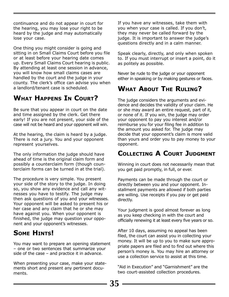continuance and do not appear in court for the hearing, you may lose your right to be heard by the judge and may automatically lose your case.

One thing you might consider is going and sitting in on Small Claims Court before you file or at least before your hearing date comes up. Every Small Claims Court hearing is public. By attending at least one session in advance, you will know how small claims cases are handled by the court and the judge in your county. The clerk's office can advise you when a landlord/tenant case is scheduled.

#### **WHAT HAPPENS IN COURT?**

Be sure that you appear in court on the date and time assigned by the clerk. Get there early! If you are not present, your side of the case will not be heard and your opponent will win.

At the hearing, the claim is heard by a judge. There is not a jury. You and your opponent represent yourselves.

The only information the judge should have ahead of time is the original claim form and possibly a counterclaim form (though counterclaim forms can be turned in at the trial).

The procedure is very simple. You present your side of the story to the judge. In doing so, you show any evidence and call any witnesses you have to testify. The judge may then ask questions of you and your witnesses. Your opponent will be asked to present his or her case and any claim that he or she may have against you. When your opponent is finished, the judge may question your opponent and your opponent's witnesses.

#### **SOME HINTS!**

You may want to prepare an opening statement – one or two sentences that summarize your side of the case – and practice it in advance.

When presenting your case, make your statements short and present any pertinent documents.

If you have any witnesses, take them with you when your case is called. If you don't, they may never be called forward by the judge. It is important to answer the judge's questions directly and in a calm manner.

Speak clearly, directly, and only when spoken to. If you must interrupt or insert a point, do it as politely as possible.

Never be rude to the judge or your opponent either in speaking or by making gestures or faces.

#### **WHAT ABOUT THE RULING?**

The judge considers the arguments and evidence and decides the validity of your claim. He or she may award an entire request, part of it, or none of it. If you win, the judge may order your opponent to pay you interest and/or reimburse you for your filing fee in addition to the amount you asked for. The judge may decide that your opponent's claim is more valid than yours and order you to pay money to your opponent.

#### **COLLECTING A COURT JUDGMENT**

Winning in court does not necessarily mean that you get paid promptly, in full, or ever.

Payments can be made through the court or directly between you and your opponent. Installment payments are allowed if both parties are willing. Use receipts if you pay or get paid directly.

Your judgment is good almost forever as long as you keep checking in with the court and officially renewing it at least every five years or so.

After 10 days, assuming no appeal has been filed, the court can assist you in collecting your money. It will be up to you to make sure appropriate papers are filed and to find out where this person's money is. You may hire an attorney or use a collection service to assist at this time.

"Aid in Execution" and "Garnishment" are the two court-assisted collection procedures.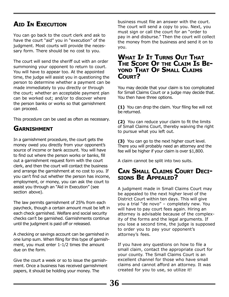#### **AID IN EXECUTION**

You can go back to the court clerk and ask to have the court "aid" you in "execution" of the judgment. Most courts will provide the necessary form. There should be no cost to you.

The court will send the sheriff out with an order summoning your opponent to return to court. You will have to appear too. At the appointed time, the judge will assist you in questioning the person to determine whether a payment can be made immediately to you directly or through the court; whether an acceptable payment plan can be worked out; and/or to discover where the person banks or works so that garnishment can proceed.

This procedure can be used as often as necessary.

#### **GARNISHMENT**

In a garnishment procedure, the court gets the money owed you directly from your opponent's source of income or bank account. You will have to find out where the person works or banks, fill out a garnishment request form with the court clerk, and then the court will contact the business and arrange the garnishment at no cost to you. If you can't find out whether the person has income, employment, or money, you can ask the court to assist you through an "Aid in Execution" (see section above).

The law permits garnishment of 25% from each paycheck, though a certain amount must be left in each check garnished. Welfare and social security checks can't be garnished. Garnishments continue until the judgment is paid off or released.

A checking or savings account can be garnished in one lump sum. When filing for this type of garnishment, you must enter 1-1/2 times the amount due on the form.

Give the court a week or so to issue the garnishment. Once a business has received garnishment papers, it should be holding your money. The

business must file an answer with the court. The court will send a copy to you. Next, you must sign or call the court for an "order to pay in and disburse." Then the court will collect the money from the business and send it on to you.

#### **WHAT IF IT TURNS OUT THAT THE SCOPE OF THE CLAIM IS BE- YOND THAT OF SMALL CLAIMS COURT?**

You may decide that your claim is too complicated for Small Claims Court or a judge may decide that. You then have three options.

**(1)** You can drop the claim. Your filing fee will not be returned.

**(2)** You can reduce your claim to fit the limits of Small Claims Court, thereby waiving the right to pursue what you left out.

**(3)** You can go to the next higher court level. There you will probably need an attorney and the fee will be higher if your claim is over \$1,800.

A claim cannot be split into two suits.

# **CAN SMALL CLAIMS COURT DECI- SIONS BE APPEALED?**

A judgment made in Small Claims Court may be appealed to the next higher level of the District Court within ten days. This will give you a trial "de novo" – completely new. You will have to pay court fees again. Hiring an attorney is advisable because of the complexity of the forms and the legal arguments. If you lose a second time, the judge is supposed to order you to pay your opponent's attorney's fees.

If you have any questions on how to file a small claim, contact the appropriate court for your county. The Small Claims Court is an excellent channel for those who have small claims and cannot afford an attorney. It was created for you to use, so utilize it!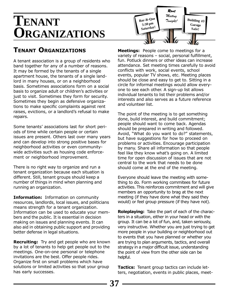## **TENANT ORGANIZATIONS**

#### **TENANT ORGANIZATIONS**

A tenant association is a group of residents who band together for any of a number of reasons. It may be formed by the tenants of a single apartment house, the tenants of a single landlord in many houses, or on a neighborhood basis. Sometimes associations form on a social basis to organize adult or children's activities or just to visit. Sometimes they form for security. Sometimes they begin as defensive organizations to make specific complaints against rent raises, evictions, or a landlord's refusal to make repairs.

Some tenants' associations last for short periods of time while certain people or certain issues are present. Others last over many years and can develop into strong positive bases for neighborhood activities or even communitywide activities such as housing code enforcement or neighborhood improvement.

There is no right way to organize and run a tenant organization because each situation is different. Still, tenant groups should keep a number of things in mind when planning and running an organization.

**Information:** Information on community resources, landlords, local issues, and politicians means strength for a tenant organization. Information can be used to educate your members and the public. It is essential in decision making on issues and planning events. It can also aid in obtaining public support and providing better defense in legal situations.

**Recruiting:** Try and get people who are known by a lot of tenants to help get people out to the meetings. One-on-one personal or telephone invitations are the best. Offer people rides. Organize first on small problems which have solutions or limited activities so that your group has early successes.



**Meetings:** People come to meetings for a variety of reasons – social, personal fulfillment, fun. Potluck dinners or other ideas can increase attendance. Set meeting times carefully to avoid conflicts with work, social events, school events, popular TV shows, etc. Meeting places should be close and easy to get to. Sitting in a circle for informal meetings would allow everyone to see each other. A sign-up list allows individual tenants to list their problems and/or interests and also serves as a future reference and volunteer list.

The point of the meeting is to get something done, build interest, and build commitment; people should want to come back. Agendas should be prepared in writing and followed. Avoid, "What do you want to do?" statements, but have suggestions for how to proceed on problems or activities. Encourage participation by many. Share all information so that people feel like they know what's going on. A limited time for open discussion of issues that are not central to the work that needs to be done should come at the end of the meeting.

Everyone should leave the meeting with something to do. Form working commitees for future activities. This reinforces commitment and will give members an opportunity to brag at the next meeting (if they have done what they said they would) or feel group pressure (if they have not).

**Roleplaying:** Take the part of each of the characters in a situation, either in your head or with the group. It can be a lot of fun, and, taken seriously, very instructive. Whether you are just trying to get more people in your building or neighborhood out to events that you have planned or whether you are trying to plan arguments, tactics, and overall strategy in a major difficult issue, understanding the point of view from the other side can be helpful.

**Tactics:** Tenant group tactics can include letters, negotiation, events in public places, meet-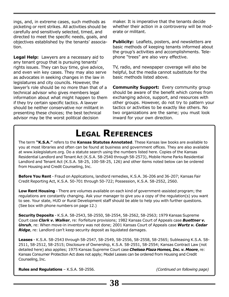ings, and, in extreme cases, such methods as picketing or rent strikes. All activities should be carefully and sensitively selected, timed, and directed to meet the specific needs, goals, and objectives established by the tenants' association.

**Legal Help:** Lawyers are a necessary aid to any tenant group that is pursuing tenants' rights issues. They can buy time, give advice, and even win key cases. They may also serve as advocates in seeking changes in the law in legislatures and city councils. However, the lawyer's role should be no more than that of a technical advisor who gives members legal information about what might happen to them if they try certain specific tactics. A lawyer should be neither conservative nor militant in presenting these choices; the best technical advisor may be the worst political decision

maker. It is imperative that the tenants decide whether their action in a controversy will be moderate or militant.

**Publicity:** Leaflets, posters, and newsletters are basic methods of keeping tenants informed about the group's activities and accomplishments. Telephone "trees" are also very effective.

TV, radio, and newspaper coverage will also be helpful, but the media cannot substitute for the basic methods listed above.

**Community Support:** Every community group should be aware of the benefit which comes from exchanging advice, support, and resources with other groups. However, do not try to pattern your tactics or activities to be exactly like others. No two organizations are the same; you must look inward for your own direction.

## **LEGAL REFERENCES**

The term **"K.S.A."** refers to the **Kansas Statutes Annotated**. These Kansas law books are available to you at most libraries and often can be found at business and government offices. They are also available at www.kslegislature.org. Do a statute search using the numbers listed here. Copies of the Kansas Residential Landlord and Tenant Act (K.S.A. 58-2540 through 58-2573), Mobile Home Parks Residential Landlord and Tenant Act (K.S.A. 58-25, 100-58-25, 126) and other items noted below can be ordered from Housing and Credit Counseling, Inc.

**Before You Rent** - Fraud on Applications, landlord remedies, K.S.A. 36-206 and 36-207; Kansas Fair Credit Reporting Act, K.S.A. 50-701 through 50-722; Possession, K.S.A. 58-2552, 2560.

**Low Rent Housing** - There are volumes available on each kind of government-assisted program; the regulations are constantly changing. Ask your manager to give you a copy of the regulation(s) you want to see. Your state, HUD or Rural Development staff should be able to help you with further questions. (See box with phone numbers on page 12.)

**Security Deposits** - K.S.A. 58-2543, 58-2550, 58-2554, 58-2562, 58-2563; 1979 Kansas Supreme Court case *Clark v. Walker*, re: Forfeiture provisions; 1982 Kansas Court of Appeals case *Buettner v. Unruh*, re: When move-in inventory was not done; 2001 Kansas Court of Appeals case *Wurtz v. Cedar Ridge*, re: Landlord can't keep security deposit as liquidated damages.

**Leases** - K.S.A. 58-2543 through 58-2547, 58-2549, 58-2556, 58-2558, 58-2565; Subleasing K.S.A. 58- 2511, 58-2512, 58-2515; Disclosure of Ownership, K.S.A. 58-2551, 58-2554; Kansas Contract Law (not detailed here) also applies; 1975 Kansas Supreme Court case *Chelsea Plaza Homes, Inc. v. Moore*, re: Kansas Consumer Protection Act does not apply; Model Leases can be ordered from Housing and Credit Counseling, Inc.

**Rules and Regulations** – K.S.A. 58-2556. *(Continued on following page)*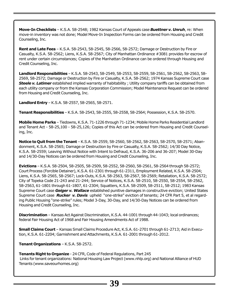**Move-In Checklists** – K.S.A. 58-2548; 1982 Kansas Court of Appeals case *Buettner v. Unruh*, re: When move-in inventory was not done; Model Move-In Inspection Forms can be ordered from Housing and Credit Counseling, Inc.

**Rent and Late Fees** – K.S.A. 58-2543, 58-2545, 58-2566, 58-2572; Damage or Destruction by Fire or Casualty, K.S.A. 58-2562; Liens, K.S.A. 58-2567; City of Manhattan Ordinance #3081 provides for escrow of rent under certain circumstances; Copies of the Manhattan Ordinance can be ordered through Housing and Credit Counseling, Inc.

**Landlord Responsibilities** – K.S.A. 58-2543, 58-2549, 58-2553, 58-2559, 58-2561, 58-2562, 58-2563, 58- 2569, 58-2572; Damage or Destruction by Fire or Casualty, K.S.A. 58-2562; 1974 Kansas Supreme Court case *Steele v. Latimer* established implied warranty of habitability ; Utility company tariffs can be obtained from each utility company or from the Kansas Corporation Commission; Model Maintenance Request can be ordered from Housing and Credit Counseling, Inc.

**Landlord Entry** – K.S.A. 58-2557, 58-2565, 58-2571.

**Tenant Responsibilities** – K.S.A. 58-2543, 58-2555, 58-2558, 58-2564; Possession, K.S.A. 58-2570.

**Mobile Home Parks** – Tiedowns, K.S.A. 71-1226 through 71-1234; Mobile Home Parks Residential Landlord and Tenant Act - 58-25,100 - 58-25,126; Copies of this Act can be ordered from Housing and Credit Counseling, Inc.

**Notice to Quit from the Tenant** – K.S.A. 58-2559, 58-2560, 58-2562, 58-2563, 58-2570, 58-2571; Abandonment, K.S.A. 58-2565; Damage or Destruction by Fire or Casualty, K.S.A. 58-2562; 14/30 Day Notice, K.S.A. 58-2559; Leaving Without Notice with Intent to Defraud, K.S.A. 36-206 and 36-207; Model 30-Day and 14/30-Day Notices can be ordered from Housing and Credit Counseling, Inc.

**Evictions** – K.S.A. 58-2504, 58-2505, 58-2509, 58-2552, 58-2560, 58-2561, 58-2564 through 58-2572; Court Process (Forcible Detainer), K.S.A. 61-2301 through 61-2311, Employment Related, K.S.A. 58-2504; Liens, K.S.A. 58-2565, 58-2567; Lock-Outs, K.S.A. 58-2563, 58-2567, 58-2569; Retaliation, K.S.A. 58-2572; City of Topeka Code 21-243 and 21-244; Service of Notices, K.S.A. 58-2510, 58-2550, 58-2554, 58-2562, 58-2563, 61-1801 through 61-1807, 61-2304; Squatters, K.S.A. 58-2509, 58-2511, 58-2512; 1983 Kansas Supreme Court case *Geiger v. Wallace* established punitive damages in constructive eviction; United States Supreme Court case *Rucker v. Davis* upheld "one-strike" eviction of tenants; 24 CFR Part 5, et al regarding Public Housing "one-strike" rules; Model 3-Day, 30-Day, and 14/30-Day Notices can be ordered from Housing and Credit Counseling, Inc.

**Discrimination** – Kansas Act Against Discrimination, K.S.A. 44-1001 through 44-1043; local ordinances; federal Fair Housing Act of 1968 and Fair Housing Amendments Act of 1988.

**Small Claims Court** – Kansas Small Claims Procedure Act, K.S.A. 61-2701 through 61-2713; Aid in Execution, K.S.A. 61-2204; Garnishment and Attachments, K.S.A. 61-2001 through 61-2012.

**Tenant Organizations** – K.S.A. 58-2572.

**Tenants Right to Organize** - 24 CFR, Code of Federal Regulations, Part 245 Links for tenant organizations: National Housing Law Project (www.nhlp.org) and National Alliance of HUD Tenants (www.saveourhomes.org)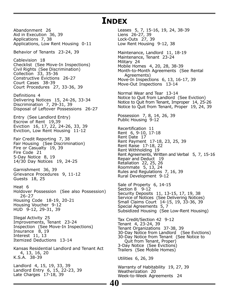#### **INDEX**

Abandonment 26 Aid in Execution 36, 39 Applications 7, 38 Applications, Low Rent Housing 0-11

Behavior of Tenants 23-24, 39

Cablevision 18 Checklist (See Move-In Inspections) Civil Rights (See Discrimination) Collection 33, 35-36 Constructive Evictions 26-27 Court Cases 38-39 Court Procedures 27, 33-36, 39

Definitions 4 Delivering Notices 15, 24-26, 33-34 Discrimination 7, 29-31, 39 Disposal of Leftover Possessions 26-27

Entry (See Landlord Entry) Escrow of Rent 19,39 Eviction 16, 17, 22, 24-26, 33, 39 Eviction, Low Rent Housing 11-12

Fair Credit Reporting 7, 38 Fair Housing (See Discrimination) Fire or Casualty 19, 39 Fire Code 21 5-Day Notice 8, 19 14/30 Day Notices 19, 24-25

Garnishment 36, 39 Grievance Procedures 9, 11-12 Guests 18, 25

Heat 6 Holdover Possession (See also Possession) 26-27 Housing Code 18-19, 20-21 Housing Voucher 9-12 HUD 9-12, 29-31, 39

Illegal Activity 25 Improvements, Tenant 23-24 Inspection (See Move-In Inspections) Insurance 8, 19 Interest 11, 13 Itemized Deductions 13-14

Kansas Residential Landlord and Tenant Act 4, 13, 16, 20 K.S.A. 38-39

Landlord 4, 15, 19, 33, 39 Landlord Entry 6, 15, 22-23, 39 Late Charges 17-18, 39

Leases 5, 7, 15-16, 19, 24, 38-39 Liens 26-27, 39 Lock-Outs 27, 39 Low Rent Housing 9-12, 38 Maintenance, Landlord 11, 18-19 Maintenance, Tenant 23-24 Military 24 Mobile Homes 4, 20, 28, 38-39 Month-to-Month Agreements (See Rental Agreements) Move-In Inspections 6, 13, 16-17, 39 Move-Out Inspections 13-14 Normal Wear and Tear 13-14 Notice to Quit from Landlord (See Eviction) Notice to Quit from Tenant, Improper 14, 25-26 Notice to Quit from Tenant, Proper 19, 24, 39 Possession 7, 8, 14, 26, 39 Public Housing 9-12 Recertification 11 Rent 6, 9-10, 17-18 Rent Date 17 Rent Payment 17-18, 23, 25, 39 Rent Raise 17-18, 22 Rent Withholding 19 Rent Agreements, Written and Verbal 5, 7, 15-16 Repair and Deduct 19 Retaliation 22, 25, 26 Roommate 5, 13, 24 Rules and Regulations 7, 16, 39 Rural Development 9-12 Sale of Property 6, 14-15 Section 8 9-12 Security Deposits 11, 13-15, 17, 19, 38 Service of Notices (See Delivering Notices) Small Claims Court 14-15, 19, 33-36, 39 Special Agreements 5, 7 Subsidized Housing (See Low-Rent Housing) Tax Credit/Section 42 9-12

Tenant 4, 23-24, 39 Tenant Organizations 37-38, 39 30-Day Notice from Landlord (See Evictions) 30-Day Notice from Tenant (See Notice to Quit from Tenant, Proper) 3-Day Notice (See Evictions) Trailers (See Mobile Homes)

Utilities 6, 26, 39

**40**

Warranty of Habitability 19, 27, 39 Weatherization 20 Week-to-Week Agreements 24